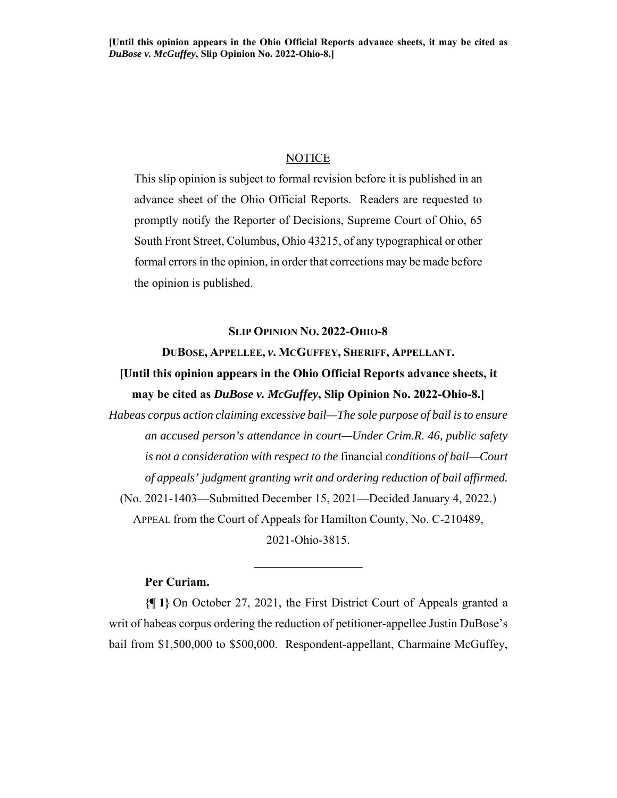# **NOTICE**

This slip opinion is subject to formal revision before it is published in an advance sheet of the Ohio Official Reports. Readers are requested to promptly notify the Reporter of Decisions, Supreme Court of Ohio, 65 South Front Street, Columbus, Ohio 43215, of any typographical or other formal errors in the opinion, in order that corrections may be made before the opinion is published.

## **SLIP OPINION NO. 2022-OHIO-8**

#### **DUBOSE, APPELLEE,** *v***. MCGUFFEY, SHERIFF, APPELLANT.**

# **[Until this opinion appears in the Ohio Official Reports advance sheets, it may be cited as** *DuBose v. McGuffey***, Slip Opinion No. 2022-Ohio-8.]**

*Habeas corpus action claiming excessive bail—The sole purpose of bail is to ensure an accused person's attendance in court—Under Crim.R. 46, public safety is not a consideration with respect to the* financial *conditions of bail—Court of appeals' judgment granting writ and ordering reduction of bail affirmed.*  (No. 2021-1403—Submitted December 15, 2021—Decided January 4, 2022.) APPEAL from the Court of Appeals for Hamilton County, No. C-210489,

2021-Ohio-3815.

# **Per Curiam.**

**{¶ 1}** On October 27, 2021, the First District Court of Appeals granted a writ of habeas corpus ordering the reduction of petitioner-appellee Justin DuBose's bail from \$1,500,000 to \$500,000. Respondent-appellant, Charmaine McGuffey,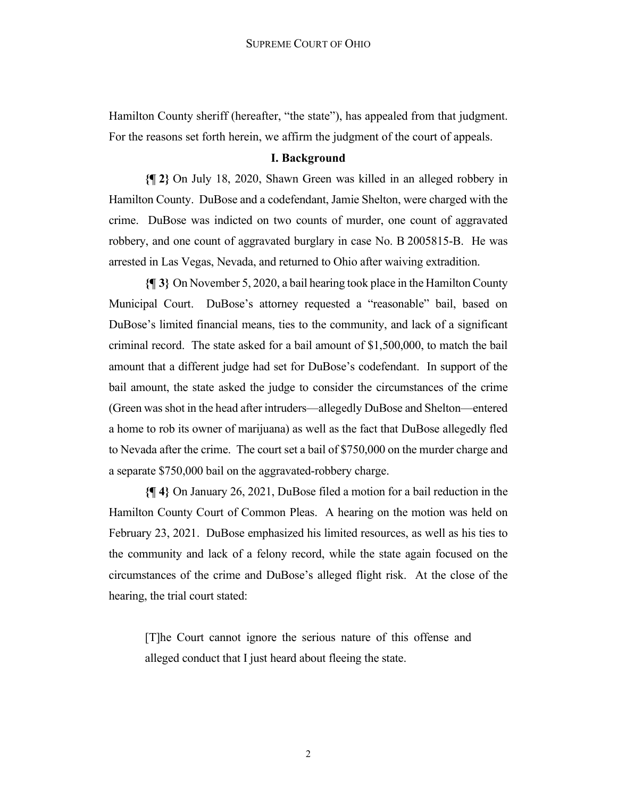Hamilton County sheriff (hereafter, "the state"), has appealed from that judgment. For the reasons set forth herein, we affirm the judgment of the court of appeals.

# **I. Background**

**{¶ 2}** On July 18, 2020, Shawn Green was killed in an alleged robbery in Hamilton County. DuBose and a codefendant, Jamie Shelton, were charged with the crime. DuBose was indicted on two counts of murder, one count of aggravated robbery, and one count of aggravated burglary in case No. B 2005815-B. He was arrested in Las Vegas, Nevada, and returned to Ohio after waiving extradition.

**{¶ 3}** On November 5, 2020, a bail hearing took place in the Hamilton County Municipal Court. DuBose's attorney requested a "reasonable" bail, based on DuBose's limited financial means, ties to the community, and lack of a significant criminal record. The state asked for a bail amount of \$1,500,000, to match the bail amount that a different judge had set for DuBose's codefendant. In support of the bail amount, the state asked the judge to consider the circumstances of the crime (Green was shot in the head after intruders—allegedly DuBose and Shelton—entered a home to rob its owner of marijuana) as well as the fact that DuBose allegedly fled to Nevada after the crime. The court set a bail of \$750,000 on the murder charge and a separate \$750,000 bail on the aggravated-robbery charge.

**{¶ 4}** On January 26, 2021, DuBose filed a motion for a bail reduction in the Hamilton County Court of Common Pleas. A hearing on the motion was held on February 23, 2021. DuBose emphasized his limited resources, as well as his ties to the community and lack of a felony record, while the state again focused on the circumstances of the crime and DuBose's alleged flight risk. At the close of the hearing, the trial court stated:

[T]he Court cannot ignore the serious nature of this offense and alleged conduct that I just heard about fleeing the state.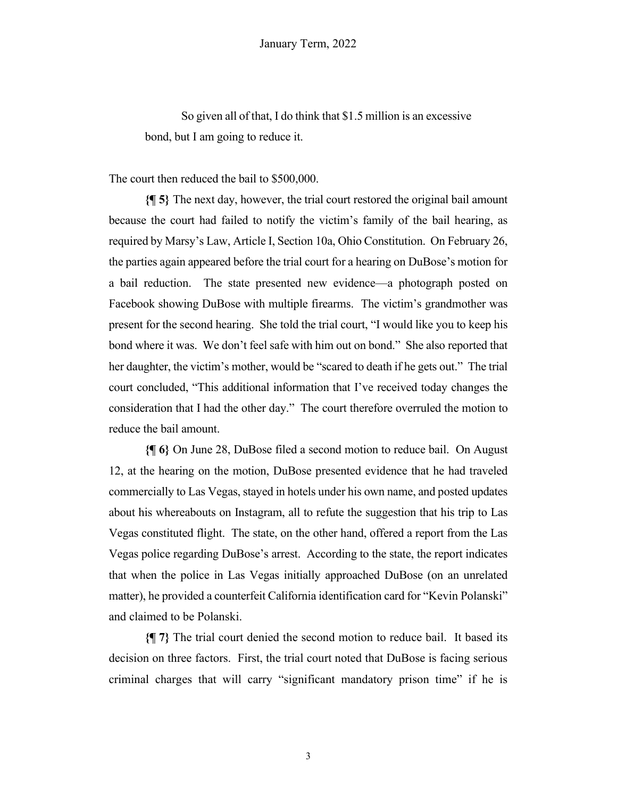So given all of that, I do think that \$1.5 million is an excessive bond, but I am going to reduce it.

The court then reduced the bail to \$500,000.

**{¶ 5}** The next day, however, the trial court restored the original bail amount because the court had failed to notify the victim's family of the bail hearing, as required by Marsy's Law, Article I, Section 10a, Ohio Constitution. On February 26, the parties again appeared before the trial court for a hearing on DuBose's motion for a bail reduction. The state presented new evidence—a photograph posted on Facebook showing DuBose with multiple firearms. The victim's grandmother was present for the second hearing. She told the trial court, "I would like you to keep his bond where it was. We don't feel safe with him out on bond." She also reported that her daughter, the victim's mother, would be "scared to death if he gets out." The trial court concluded, "This additional information that I've received today changes the consideration that I had the other day." The court therefore overruled the motion to reduce the bail amount.

**{¶ 6}** On June 28, DuBose filed a second motion to reduce bail. On August 12, at the hearing on the motion, DuBose presented evidence that he had traveled commercially to Las Vegas, stayed in hotels under his own name, and posted updates about his whereabouts on Instagram, all to refute the suggestion that his trip to Las Vegas constituted flight. The state, on the other hand, offered a report from the Las Vegas police regarding DuBose's arrest. According to the state, the report indicates that when the police in Las Vegas initially approached DuBose (on an unrelated matter), he provided a counterfeit California identification card for "Kevin Polanski" and claimed to be Polanski.

**{¶ 7}** The trial court denied the second motion to reduce bail. It based its decision on three factors. First, the trial court noted that DuBose is facing serious criminal charges that will carry "significant mandatory prison time" if he is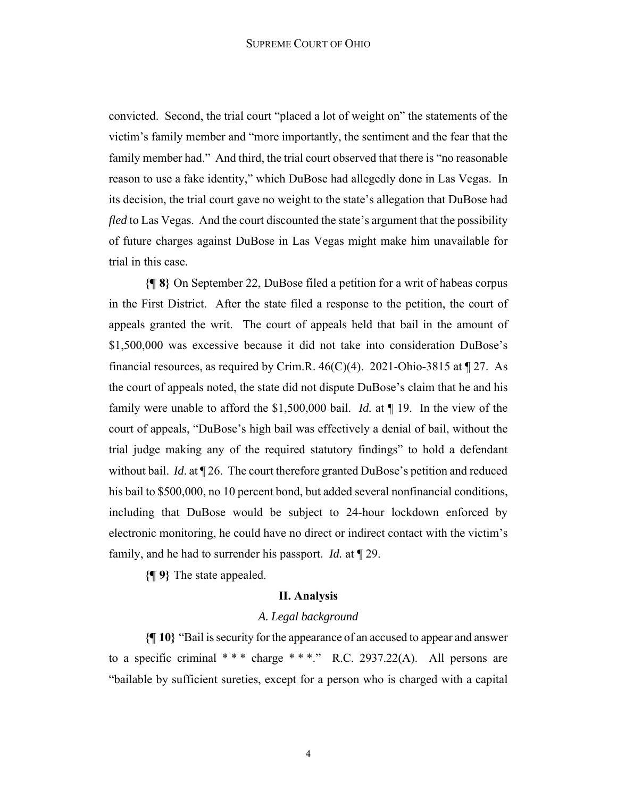convicted. Second, the trial court "placed a lot of weight on" the statements of the victim's family member and "more importantly, the sentiment and the fear that the family member had." And third, the trial court observed that there is "no reasonable" reason to use a fake identity," which DuBose had allegedly done in Las Vegas. In its decision, the trial court gave no weight to the state's allegation that DuBose had *fled* to Las Vegas. And the court discounted the state's argument that the possibility of future charges against DuBose in Las Vegas might make him unavailable for trial in this case.

**{¶ 8}** On September 22, DuBose filed a petition for a writ of habeas corpus in the First District. After the state filed a response to the petition, the court of appeals granted the writ. The court of appeals held that bail in the amount of \$1,500,000 was excessive because it did not take into consideration DuBose's financial resources, as required by Crim.R.  $46(C)(4)$ . 2021-Ohio-3815 at  $\P$  27. As the court of appeals noted, the state did not dispute DuBose's claim that he and his family were unable to afford the \$1,500,000 bail. *Id.* at ¶ 19. In the view of the court of appeals, "DuBose's high bail was effectively a denial of bail, without the trial judge making any of the required statutory findings" to hold a defendant without bail. *Id*. at ¶ 26. The court therefore granted DuBose's petition and reduced his bail to \$500,000, no 10 percent bond, but added several nonfinancial conditions, including that DuBose would be subject to 24-hour lockdown enforced by electronic monitoring, he could have no direct or indirect contact with the victim's family, and he had to surrender his passport. *Id.* at ¶ 29.

**{¶ 9}** The state appealed.

#### **II. Analysis**

## *A. Legal background*

**{¶ 10}** "Bail is security for the appearance of an accused to appear and answer to a specific criminal  $***$  charge  $***$ ." R.C. 2937.22(A). All persons are "bailable by sufficient sureties, except for a person who is charged with a capital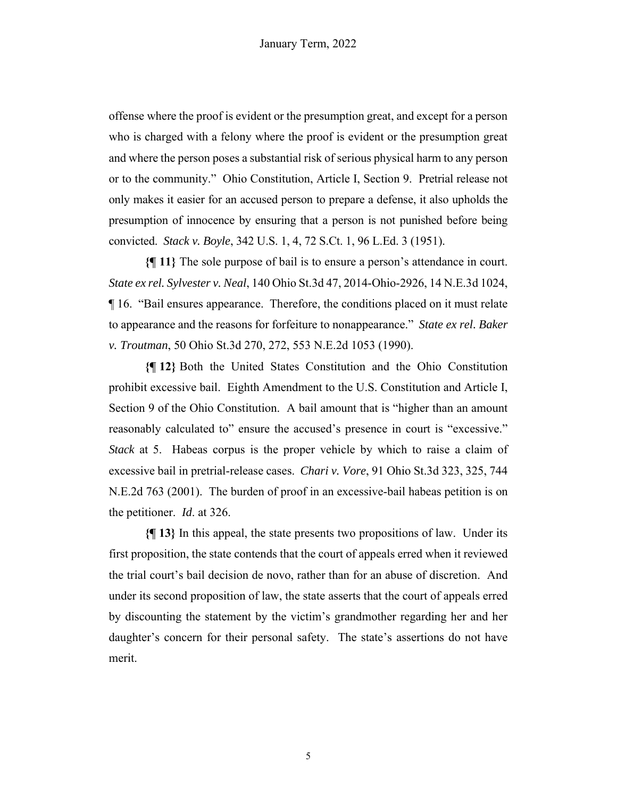offense where the proof is evident or the presumption great, and except for a person who is charged with a felony where the proof is evident or the presumption great and where the person poses a substantial risk of serious physical harm to any person or to the community." Ohio Constitution, Article I, Section 9. Pretrial release not only makes it easier for an accused person to prepare a defense, it also upholds the presumption of innocence by ensuring that a person is not punished before being convicted. *Stack v. Boyle*, 342 U.S. 1, 4, 72 S.Ct. 1, 96 L.Ed. 3 (1951).

**{¶ 11}** The sole purpose of bail is to ensure a person's attendance in court. *State ex rel. Sylvester v. Neal*, 140 Ohio St.3d 47, 2014-Ohio-2926, 14 N.E.3d 1024, ¶ 16. "Bail ensures appearance. Therefore, the conditions placed on it must relate to appearance and the reasons for forfeiture to nonappearance." *State ex rel. Baker v. Troutman*, 50 Ohio St.3d 270, 272, 553 N.E.2d 1053 (1990).

**{¶ 12}** Both the United States Constitution and the Ohio Constitution prohibit excessive bail. Eighth Amendment to the U.S. Constitution and Article I, Section 9 of the Ohio Constitution. A bail amount that is "higher than an amount reasonably calculated to" ensure the accused's presence in court is "excessive." *Stack* at 5. Habeas corpus is the proper vehicle by which to raise a claim of excessive bail in pretrial-release cases. *Chari v. Vore*, 91 Ohio St.3d 323, 325, 744 N.E.2d 763 (2001). The burden of proof in an excessive-bail habeas petition is on the petitioner. *Id*. at 326.

**{¶ 13}** In this appeal, the state presents two propositions of law. Under its first proposition, the state contends that the court of appeals erred when it reviewed the trial court's bail decision de novo, rather than for an abuse of discretion. And under its second proposition of law, the state asserts that the court of appeals erred by discounting the statement by the victim's grandmother regarding her and her daughter's concern for their personal safety. The state's assertions do not have merit.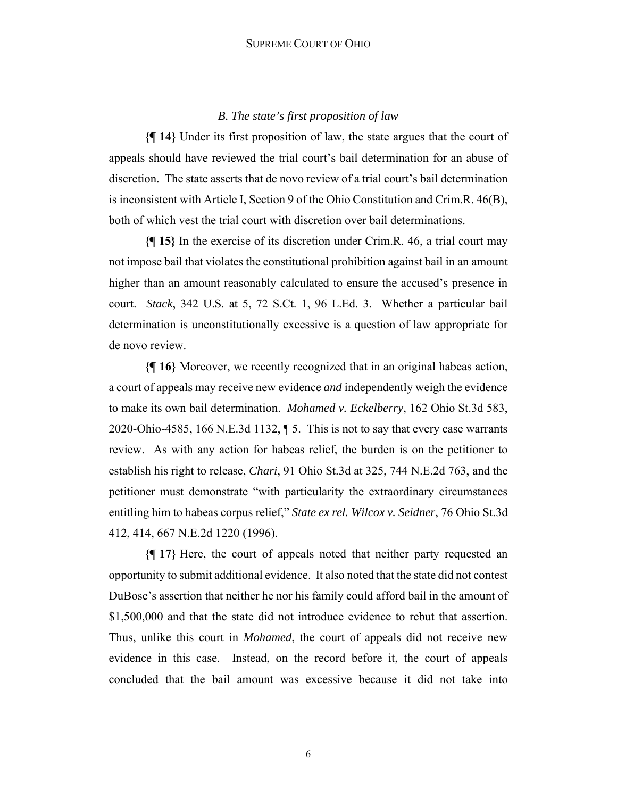#### SUPREME COURT OF OHIO

# *B. The state's first proposition of law*

**{¶ 14}** Under its first proposition of law, the state argues that the court of appeals should have reviewed the trial court's bail determination for an abuse of discretion. The state asserts that de novo review of a trial court's bail determination is inconsistent with Article I, Section 9 of the Ohio Constitution and Crim.R. 46(B), both of which vest the trial court with discretion over bail determinations.

**{¶ 15}** In the exercise of its discretion under Crim.R. 46, a trial court may not impose bail that violates the constitutional prohibition against bail in an amount higher than an amount reasonably calculated to ensure the accused's presence in court. *Stack*, 342 U.S. at 5, 72 S.Ct. 1, 96 L.Ed. 3. Whether a particular bail determination is unconstitutionally excessive is a question of law appropriate for de novo review.

**{¶ 16}** Moreover, we recently recognized that in an original habeas action, a court of appeals may receive new evidence *and* independently weigh the evidence to make its own bail determination. *Mohamed v. Eckelberry*, 162 Ohio St.3d 583, 2020-Ohio-4585, 166 N.E.3d 1132, ¶ 5. This is not to say that every case warrants review. As with any action for habeas relief, the burden is on the petitioner to establish his right to release, *Chari*, 91 Ohio St.3d at 325, 744 N.E.2d 763, and the petitioner must demonstrate "with particularity the extraordinary circumstances entitling him to habeas corpus relief," *State ex rel. Wilcox v. Seidner*, 76 Ohio St.3d 412, 414, 667 N.E.2d 1220 (1996).

**{¶ 17}** Here, the court of appeals noted that neither party requested an opportunity to submit additional evidence. It also noted that the state did not contest DuBose's assertion that neither he nor his family could afford bail in the amount of \$1,500,000 and that the state did not introduce evidence to rebut that assertion. Thus, unlike this court in *Mohamed*, the court of appeals did not receive new evidence in this case. Instead, on the record before it, the court of appeals concluded that the bail amount was excessive because it did not take into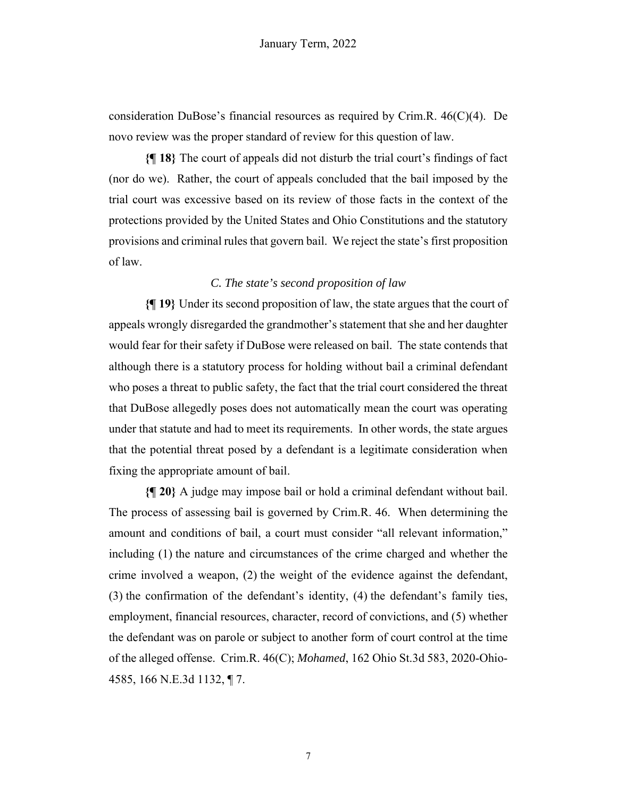consideration DuBose's financial resources as required by Crim.R. 46(C)(4). De novo review was the proper standard of review for this question of law.

**{¶ 18}** The court of appeals did not disturb the trial court's findings of fact (nor do we). Rather, the court of appeals concluded that the bail imposed by the trial court was excessive based on its review of those facts in the context of the protections provided by the United States and Ohio Constitutions and the statutory provisions and criminal rules that govern bail. We reject the state's first proposition of law.

# *C. The state's second proposition of law*

**{¶ 19}** Under its second proposition of law, the state argues that the court of appeals wrongly disregarded the grandmother's statement that she and her daughter would fear for their safety if DuBose were released on bail. The state contends that although there is a statutory process for holding without bail a criminal defendant who poses a threat to public safety, the fact that the trial court considered the threat that DuBose allegedly poses does not automatically mean the court was operating under that statute and had to meet its requirements. In other words, the state argues that the potential threat posed by a defendant is a legitimate consideration when fixing the appropriate amount of bail.

**{¶ 20}** A judge may impose bail or hold a criminal defendant without bail. The process of assessing bail is governed by Crim.R. 46. When determining the amount and conditions of bail, a court must consider "all relevant information," including (1) the nature and circumstances of the crime charged and whether the crime involved a weapon, (2) the weight of the evidence against the defendant, (3) the confirmation of the defendant's identity, (4) the defendant's family ties, employment, financial resources, character, record of convictions, and (5) whether the defendant was on parole or subject to another form of court control at the time of the alleged offense. Crim.R. 46(C); *Mohamed*, 162 Ohio St.3d 583, 2020-Ohio-4585, 166 N.E.3d 1132, ¶ 7.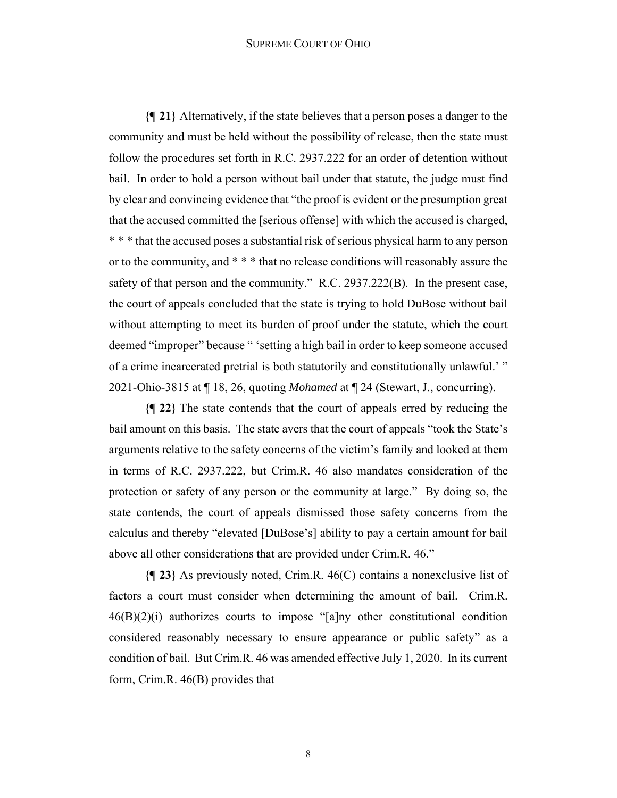#### SUPREME COURT OF OHIO

**{¶ 21}** Alternatively, if the state believes that a person poses a danger to the community and must be held without the possibility of release, then the state must follow the procedures set forth in R.C. 2937.222 for an order of detention without bail. In order to hold a person without bail under that statute, the judge must find by clear and convincing evidence that "the proof is evident or the presumption great that the accused committed the [serious offense] with which the accused is charged, \* \* \* that the accused poses a substantial risk of serious physical harm to any person or to the community, and \* \* \* that no release conditions will reasonably assure the safety of that person and the community." R.C. 2937.222(B). In the present case, the court of appeals concluded that the state is trying to hold DuBose without bail without attempting to meet its burden of proof under the statute, which the court deemed "improper" because " 'setting a high bail in order to keep someone accused of a crime incarcerated pretrial is both statutorily and constitutionally unlawful.' " 2021-Ohio-3815 at ¶ 18, 26, quoting *Mohamed* at ¶ 24 (Stewart, J., concurring).

**{¶ 22}** The state contends that the court of appeals erred by reducing the bail amount on this basis. The state avers that the court of appeals "took the State's arguments relative to the safety concerns of the victim's family and looked at them in terms of R.C. 2937.222, but Crim.R. 46 also mandates consideration of the protection or safety of any person or the community at large." By doing so, the state contends, the court of appeals dismissed those safety concerns from the calculus and thereby "elevated [DuBose's] ability to pay a certain amount for bail above all other considerations that are provided under Crim.R. 46."

**{¶ 23}** As previously noted, Crim.R. 46(C) contains a nonexclusive list of factors a court must consider when determining the amount of bail. Crim.R.  $46(B)(2)(i)$  authorizes courts to impose "[a]ny other constitutional condition considered reasonably necessary to ensure appearance or public safety" as a condition of bail. But Crim.R. 46 was amended effective July 1, 2020. In its current form, Crim.R. 46(B) provides that

8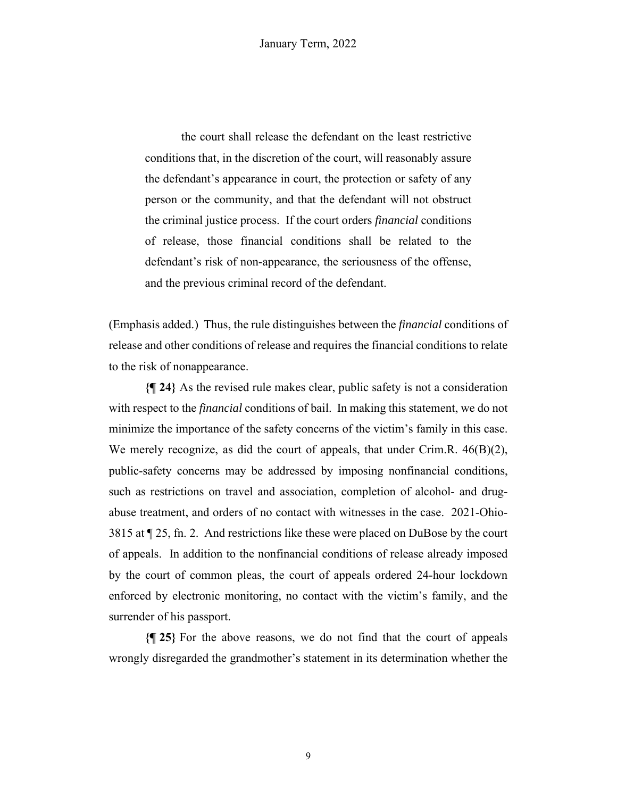the court shall release the defendant on the least restrictive conditions that, in the discretion of the court, will reasonably assure the defendant's appearance in court, the protection or safety of any person or the community, and that the defendant will not obstruct the criminal justice process. If the court orders *financial* conditions of release, those financial conditions shall be related to the defendant's risk of non-appearance, the seriousness of the offense, and the previous criminal record of the defendant.

(Emphasis added.) Thus, the rule distinguishes between the *financial* conditions of release and other conditions of release and requires the financial conditions to relate to the risk of nonappearance.

**{¶ 24}** As the revised rule makes clear, public safety is not a consideration with respect to the *financial* conditions of bail. In making this statement, we do not minimize the importance of the safety concerns of the victim's family in this case. We merely recognize, as did the court of appeals, that under Crim.R. 46(B)(2), public-safety concerns may be addressed by imposing nonfinancial conditions, such as restrictions on travel and association, completion of alcohol- and drugabuse treatment, and orders of no contact with witnesses in the case. 2021-Ohio-3815 at ¶ 25, fn. 2. And restrictions like these were placed on DuBose by the court of appeals. In addition to the nonfinancial conditions of release already imposed by the court of common pleas, the court of appeals ordered 24-hour lockdown enforced by electronic monitoring, no contact with the victim's family, and the surrender of his passport.

**{¶ 25}** For the above reasons, we do not find that the court of appeals wrongly disregarded the grandmother's statement in its determination whether the

9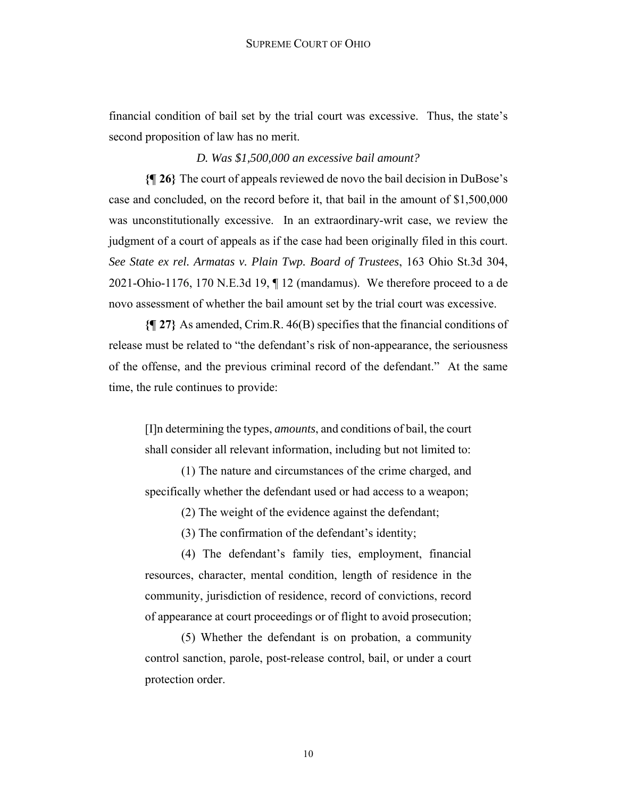financial condition of bail set by the trial court was excessive. Thus, the state's second proposition of law has no merit.

*D. Was \$1,500,000 an excessive bail amount?*

**{¶ 26}** The court of appeals reviewed de novo the bail decision in DuBose's case and concluded, on the record before it, that bail in the amount of \$1,500,000 was unconstitutionally excessive. In an extraordinary-writ case, we review the judgment of a court of appeals as if the case had been originally filed in this court. *See State ex rel. Armatas v. Plain Twp. Board of Trustees*, 163 Ohio St.3d 304, 2021-Ohio-1176, 170 N.E.3d 19, ¶ 12 (mandamus). We therefore proceed to a de novo assessment of whether the bail amount set by the trial court was excessive.

**{¶ 27}** As amended, Crim.R. 46(B) specifies that the financial conditions of release must be related to "the defendant's risk of non-appearance, the seriousness of the offense, and the previous criminal record of the defendant." At the same time, the rule continues to provide:

[I]n determining the types, *amounts*, and conditions of bail, the court shall consider all relevant information, including but not limited to:

(1) The nature and circumstances of the crime charged, and specifically whether the defendant used or had access to a weapon;

(2) The weight of the evidence against the defendant;

(3) The confirmation of the defendant's identity;

(4) The defendant's family ties, employment, financial resources, character, mental condition, length of residence in the community, jurisdiction of residence, record of convictions, record of appearance at court proceedings or of flight to avoid prosecution;

(5) Whether the defendant is on probation, a community control sanction, parole, post-release control, bail, or under a court protection order.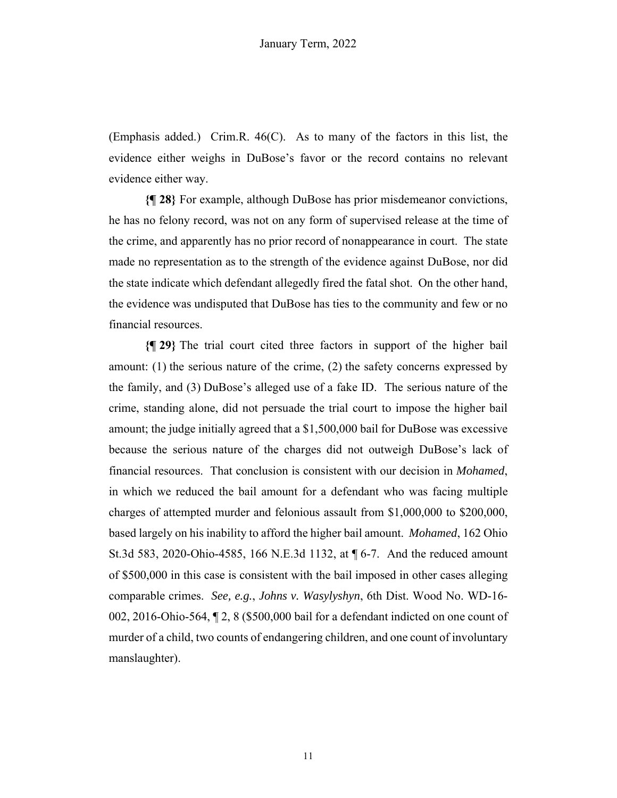(Emphasis added.) Crim.R. 46(C). As to many of the factors in this list, the evidence either weighs in DuBose's favor or the record contains no relevant evidence either way.

**{¶ 28}** For example, although DuBose has prior misdemeanor convictions, he has no felony record, was not on any form of supervised release at the time of the crime, and apparently has no prior record of nonappearance in court. The state made no representation as to the strength of the evidence against DuBose, nor did the state indicate which defendant allegedly fired the fatal shot. On the other hand, the evidence was undisputed that DuBose has ties to the community and few or no financial resources.

**{¶ 29}** The trial court cited three factors in support of the higher bail amount: (1) the serious nature of the crime, (2) the safety concerns expressed by the family, and (3) DuBose's alleged use of a fake ID. The serious nature of the crime, standing alone, did not persuade the trial court to impose the higher bail amount; the judge initially agreed that a \$1,500,000 bail for DuBose was excessive because the serious nature of the charges did not outweigh DuBose's lack of financial resources. That conclusion is consistent with our decision in *Mohamed*, in which we reduced the bail amount for a defendant who was facing multiple charges of attempted murder and felonious assault from \$1,000,000 to \$200,000, based largely on his inability to afford the higher bail amount. *Mohamed*, 162 Ohio St.3d 583, 2020-Ohio-4585, 166 N.E.3d 1132, at ¶ 6-7. And the reduced amount of \$500,000 in this case is consistent with the bail imposed in other cases alleging comparable crimes. *See, e.g.*, *Johns v. Wasylyshyn*, 6th Dist. Wood No. WD-16- 002, 2016-Ohio-564, ¶ 2, 8 (\$500,000 bail for a defendant indicted on one count of murder of a child, two counts of endangering children, and one count of involuntary manslaughter).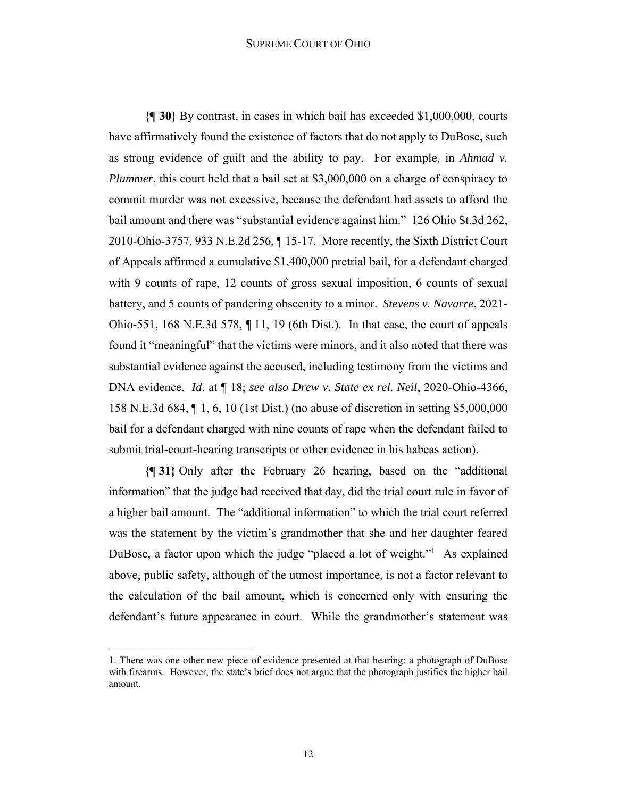#### SUPREME COURT OF OHIO

**{¶ 30}** By contrast, in cases in which bail has exceeded \$1,000,000, courts have affirmatively found the existence of factors that do not apply to DuBose, such as strong evidence of guilt and the ability to pay. For example, in *Ahmad v. Plummer*, this court held that a bail set at \$3,000,000 on a charge of conspiracy to commit murder was not excessive, because the defendant had assets to afford the bail amount and there was "substantial evidence against him." 126 Ohio St.3d 262, 2010-Ohio-3757, 933 N.E.2d 256, ¶ 15-17. More recently, the Sixth District Court of Appeals affirmed a cumulative \$1,400,000 pretrial bail, for a defendant charged with 9 counts of rape, 12 counts of gross sexual imposition, 6 counts of sexual battery, and 5 counts of pandering obscenity to a minor. *Stevens v. Navarre*, 2021- Ohio-551, 168 N.E.3d 578, ¶ 11, 19 (6th Dist.). In that case, the court of appeals found it "meaningful" that the victims were minors, and it also noted that there was substantial evidence against the accused, including testimony from the victims and DNA evidence. *Id*. at ¶ 18; *see also Drew v. State ex rel. Neil*, 2020-Ohio-4366, 158 N.E.3d 684, ¶ 1, 6, 10 (1st Dist.) (no abuse of discretion in setting \$5,000,000 bail for a defendant charged with nine counts of rape when the defendant failed to submit trial-court-hearing transcripts or other evidence in his habeas action).

**{¶ 31}** Only after the February 26 hearing, based on the "additional information" that the judge had received that day, did the trial court rule in favor of a higher bail amount. The "additional information" to which the trial court referred was the statement by the victim's grandmother that she and her daughter feared DuBose, a factor upon which the judge "placed a lot of weight."<sup>1</sup> As explained above, public safety, although of the utmost importance, is not a factor relevant to the calculation of the bail amount, which is concerned only with ensuring the defendant's future appearance in court. While the grandmother's statement was

<sup>1.</sup> There was one other new piece of evidence presented at that hearing: a photograph of DuBose with firearms. However, the state's brief does not argue that the photograph justifies the higher bail amount.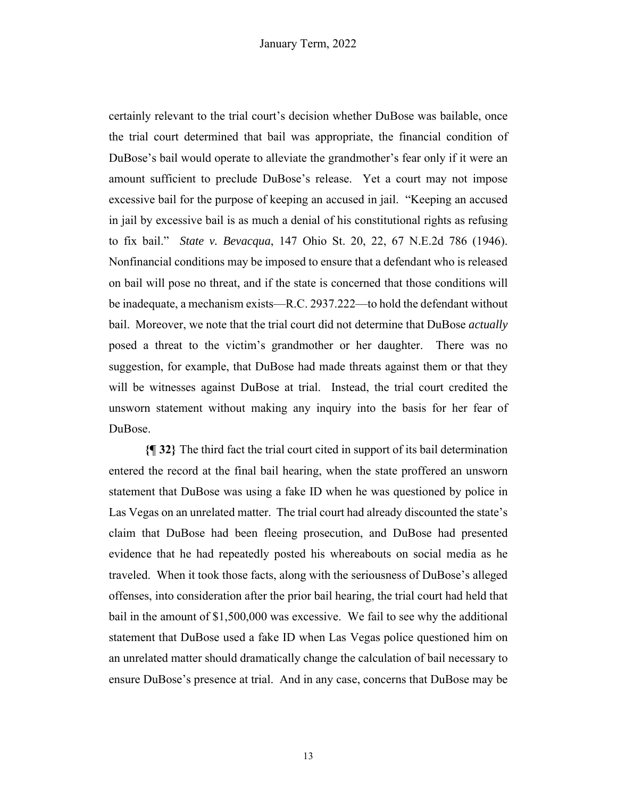certainly relevant to the trial court's decision whether DuBose was bailable, once the trial court determined that bail was appropriate, the financial condition of DuBose's bail would operate to alleviate the grandmother's fear only if it were an amount sufficient to preclude DuBose's release. Yet a court may not impose excessive bail for the purpose of keeping an accused in jail. "Keeping an accused in jail by excessive bail is as much a denial of his constitutional rights as refusing to fix bail." *State v. Bevacqua*, 147 Ohio St. 20, 22, 67 N.E.2d 786 (1946). Nonfinancial conditions may be imposed to ensure that a defendant who is released on bail will pose no threat, and if the state is concerned that those conditions will be inadequate, a mechanism exists—R.C. 2937.222—to hold the defendant without bail. Moreover, we note that the trial court did not determine that DuBose *actually* posed a threat to the victim's grandmother or her daughter. There was no suggestion, for example, that DuBose had made threats against them or that they will be witnesses against DuBose at trial. Instead, the trial court credited the unsworn statement without making any inquiry into the basis for her fear of DuBose.

**{¶ 32}** The third fact the trial court cited in support of its bail determination entered the record at the final bail hearing, when the state proffered an unsworn statement that DuBose was using a fake ID when he was questioned by police in Las Vegas on an unrelated matter. The trial court had already discounted the state's claim that DuBose had been fleeing prosecution, and DuBose had presented evidence that he had repeatedly posted his whereabouts on social media as he traveled. When it took those facts, along with the seriousness of DuBose's alleged offenses, into consideration after the prior bail hearing, the trial court had held that bail in the amount of \$1,500,000 was excessive. We fail to see why the additional statement that DuBose used a fake ID when Las Vegas police questioned him on an unrelated matter should dramatically change the calculation of bail necessary to ensure DuBose's presence at trial. And in any case, concerns that DuBose may be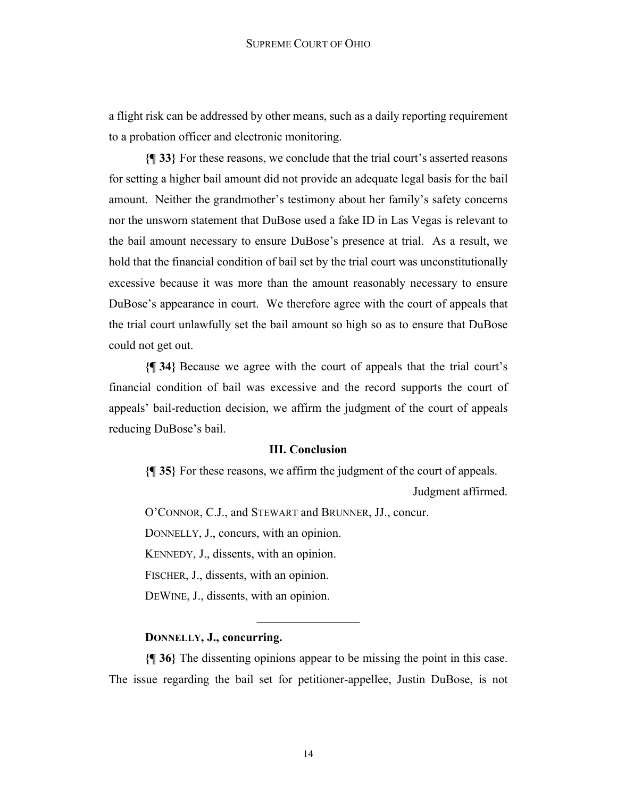a flight risk can be addressed by other means, such as a daily reporting requirement to a probation officer and electronic monitoring.

**{¶ 33}** For these reasons, we conclude that the trial court's asserted reasons for setting a higher bail amount did not provide an adequate legal basis for the bail amount. Neither the grandmother's testimony about her family's safety concerns nor the unsworn statement that DuBose used a fake ID in Las Vegas is relevant to the bail amount necessary to ensure DuBose's presence at trial. As a result, we hold that the financial condition of bail set by the trial court was unconstitutionally excessive because it was more than the amount reasonably necessary to ensure DuBose's appearance in court. We therefore agree with the court of appeals that the trial court unlawfully set the bail amount so high so as to ensure that DuBose could not get out.

**{¶ 34}** Because we agree with the court of appeals that the trial court's financial condition of bail was excessive and the record supports the court of appeals' bail-reduction decision, we affirm the judgment of the court of appeals reducing DuBose's bail.

# **III. Conclusion**

**{¶ 35}** For these reasons, we affirm the judgment of the court of appeals.

Judgment affirmed.

O'CONNOR, C.J., and STEWART and BRUNNER, JJ., concur.

DONNELLY, J., concurs, with an opinion.

KENNEDY, J., dissents, with an opinion.

FISCHER, J., dissents, with an opinion.

DEWINE, J., dissents, with an opinion.

# **DONNELLY, J., concurring.**

**{¶ 36}** The dissenting opinions appear to be missing the point in this case. The issue regarding the bail set for petitioner-appellee, Justin DuBose, is not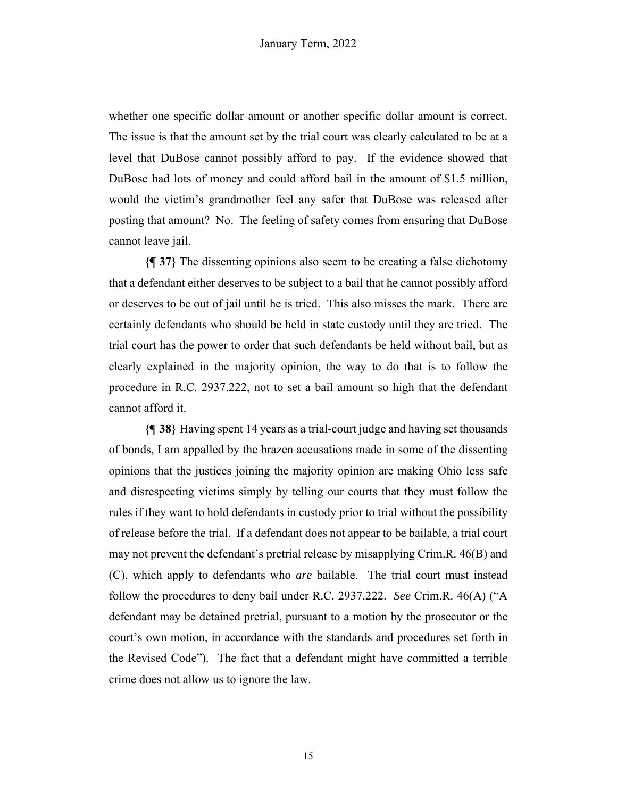whether one specific dollar amount or another specific dollar amount is correct. The issue is that the amount set by the trial court was clearly calculated to be at a level that DuBose cannot possibly afford to pay. If the evidence showed that DuBose had lots of money and could afford bail in the amount of \$1.5 million, would the victim's grandmother feel any safer that DuBose was released after posting that amount? No. The feeling of safety comes from ensuring that DuBose cannot leave jail.

**{¶ 37}** The dissenting opinions also seem to be creating a false dichotomy that a defendant either deserves to be subject to a bail that he cannot possibly afford or deserves to be out of jail until he is tried. This also misses the mark. There are certainly defendants who should be held in state custody until they are tried. The trial court has the power to order that such defendants be held without bail, but as clearly explained in the majority opinion, the way to do that is to follow the procedure in R.C. 2937.222, not to set a bail amount so high that the defendant cannot afford it.

**{¶ 38}** Having spent 14 years as a trial-court judge and having set thousands of bonds, I am appalled by the brazen accusations made in some of the dissenting opinions that the justices joining the majority opinion are making Ohio less safe and disrespecting victims simply by telling our courts that they must follow the rules if they want to hold defendants in custody prior to trial without the possibility of release before the trial. If a defendant does not appear to be bailable, a trial court may not prevent the defendant's pretrial release by misapplying Crim.R. 46(B) and (C), which apply to defendants who *are* bailable. The trial court must instead follow the procedures to deny bail under R.C. 2937.222. *See* Crim.R. 46(A) ("A defendant may be detained pretrial, pursuant to a motion by the prosecutor or the court's own motion, in accordance with the standards and procedures set forth in the Revised Code"). The fact that a defendant might have committed a terrible crime does not allow us to ignore the law.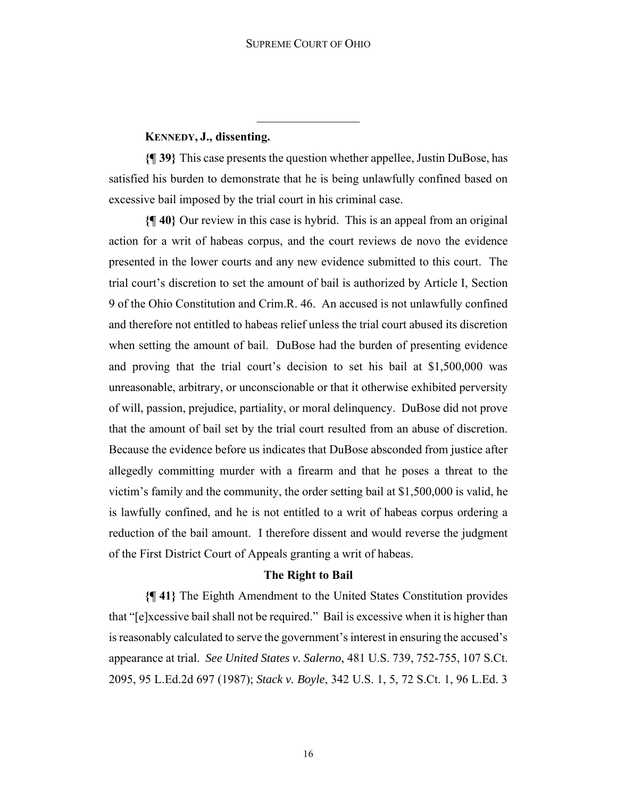# **KENNEDY, J., dissenting.**

**{¶ 39}** This case presents the question whether appellee, Justin DuBose, has satisfied his burden to demonstrate that he is being unlawfully confined based on excessive bail imposed by the trial court in his criminal case.

**{¶ 40}** Our review in this case is hybrid. This is an appeal from an original action for a writ of habeas corpus, and the court reviews de novo the evidence presented in the lower courts and any new evidence submitted to this court. The trial court's discretion to set the amount of bail is authorized by Article I, Section 9 of the Ohio Constitution and Crim.R. 46. An accused is not unlawfully confined and therefore not entitled to habeas relief unless the trial court abused its discretion when setting the amount of bail. DuBose had the burden of presenting evidence and proving that the trial court's decision to set his bail at \$1,500,000 was unreasonable, arbitrary, or unconscionable or that it otherwise exhibited perversity of will, passion, prejudice, partiality, or moral delinquency. DuBose did not prove that the amount of bail set by the trial court resulted from an abuse of discretion. Because the evidence before us indicates that DuBose absconded from justice after allegedly committing murder with a firearm and that he poses a threat to the victim's family and the community, the order setting bail at \$1,500,000 is valid, he is lawfully confined, and he is not entitled to a writ of habeas corpus ordering a reduction of the bail amount. I therefore dissent and would reverse the judgment of the First District Court of Appeals granting a writ of habeas.

#### **The Right to Bail**

**{¶ 41}** The Eighth Amendment to the United States Constitution provides that "[e]xcessive bail shall not be required." Bail is excessive when it is higher than is reasonably calculated to serve the government's interest in ensuring the accused's appearance at trial. *See United States v. Salerno*, 481 U.S. 739, 752-755, 107 S.Ct. 2095, 95 L.Ed.2d 697 (1987); *Stack v. Boyle*, 342 U.S. 1, 5, 72 S.Ct. 1, 96 L.Ed. 3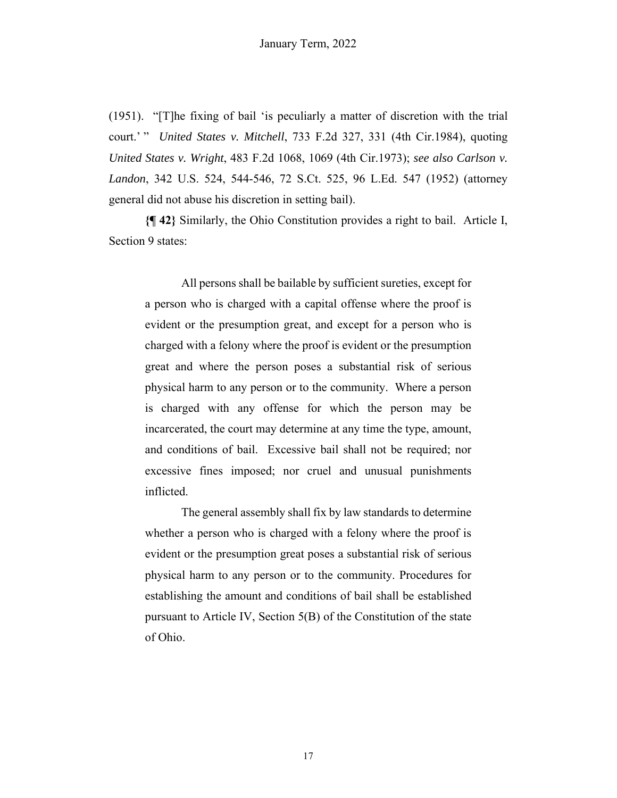(1951). "[T]he fixing of bail 'is peculiarly a matter of discretion with the trial court.' " *United States v. Mitchell*, 733 F.2d 327, 331 (4th Cir.1984), quoting *United States v. Wright*, 483 F.2d 1068, 1069 (4th Cir.1973); *see also Carlson v. Landon*, 342 U.S. 524, 544-546, 72 S.Ct. 525, 96 L.Ed. 547 (1952) (attorney general did not abuse his discretion in setting bail).

**{¶ 42}** Similarly, the Ohio Constitution provides a right to bail. Article I, Section 9 states:

All persons shall be bailable by sufficient sureties, except for a person who is charged with a capital offense where the proof is evident or the presumption great, and except for a person who is charged with a felony where the proof is evident or the presumption great and where the person poses a substantial risk of serious physical harm to any person or to the community. Where a person is charged with any offense for which the person may be incarcerated, the court may determine at any time the type, amount, and conditions of bail. Excessive bail shall not be required; nor excessive fines imposed; nor cruel and unusual punishments inflicted.

 The general assembly shall fix by law standards to determine whether a person who is charged with a felony where the proof is evident or the presumption great poses a substantial risk of serious physical harm to any person or to the community. Procedures for establishing the amount and conditions of bail shall be established pursuant to Article IV, Section 5(B) of the Constitution of the state of Ohio.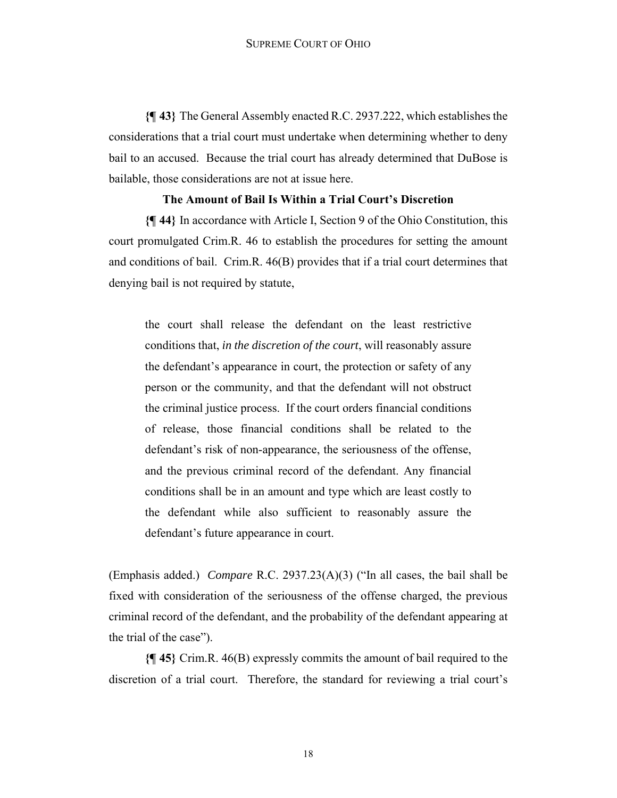**{¶ 43}** The General Assembly enacted R.C. 2937.222, which establishes the considerations that a trial court must undertake when determining whether to deny bail to an accused. Because the trial court has already determined that DuBose is bailable, those considerations are not at issue here.

# **The Amount of Bail Is Within a Trial Court's Discretion**

**{¶ 44}** In accordance with Article I, Section 9 of the Ohio Constitution, this court promulgated Crim.R. 46 to establish the procedures for setting the amount and conditions of bail. Crim.R. 46(B) provides that if a trial court determines that denying bail is not required by statute,

the court shall release the defendant on the least restrictive conditions that, *in the discretion of the court*, will reasonably assure the defendant's appearance in court, the protection or safety of any person or the community, and that the defendant will not obstruct the criminal justice process. If the court orders financial conditions of release, those financial conditions shall be related to the defendant's risk of non-appearance, the seriousness of the offense, and the previous criminal record of the defendant. Any financial conditions shall be in an amount and type which are least costly to the defendant while also sufficient to reasonably assure the defendant's future appearance in court.

(Emphasis added.) *Compare* R.C. 2937.23(A)(3) ("In all cases, the bail shall be fixed with consideration of the seriousness of the offense charged, the previous criminal record of the defendant, and the probability of the defendant appearing at the trial of the case").

**{¶ 45}** Crim.R. 46(B) expressly commits the amount of bail required to the discretion of a trial court. Therefore, the standard for reviewing a trial court's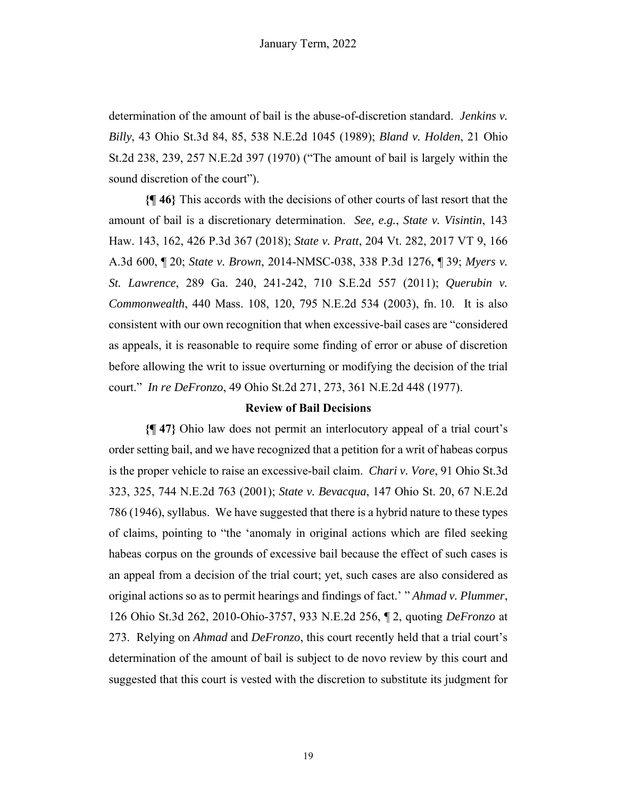determination of the amount of bail is the abuse-of-discretion standard. *Jenkins v. Billy*, 43 Ohio St.3d 84, 85, 538 N.E.2d 1045 (1989); *Bland v. Holden*, 21 Ohio St.2d 238, 239, 257 N.E.2d 397 (1970) ("The amount of bail is largely within the sound discretion of the court").

**{¶ 46}** This accords with the decisions of other courts of last resort that the amount of bail is a discretionary determination. *See, e.g.*, *State v. Visintin*, 143 Haw. 143, 162, 426 P.3d 367 (2018); *State v. Pratt*, 204 Vt. 282, 2017 VT 9, 166 A.3d 600, ¶ 20; *State v. Brown*, 2014-NMSC-038, 338 P.3d 1276, ¶ 39; *Myers v. St. Lawrence*, 289 Ga. 240, 241-242, 710 S.E.2d 557 (2011); *Querubin v. Commonwealth*, 440 Mass. 108, 120, 795 N.E.2d 534 (2003), fn. 10. It is also consistent with our own recognition that when excessive-bail cases are "considered as appeals, it is reasonable to require some finding of error or abuse of discretion before allowing the writ to issue overturning or modifying the decision of the trial court." *In re DeFronzo*, 49 Ohio St.2d 271, 273, 361 N.E.2d 448 (1977).

#### **Review of Bail Decisions**

**{¶ 47}** Ohio law does not permit an interlocutory appeal of a trial court's order setting bail, and we have recognized that a petition for a writ of habeas corpus is the proper vehicle to raise an excessive-bail claim. *Chari v. Vore*, 91 Ohio St.3d 323, 325, 744 N.E.2d 763 (2001); *State v. Bevacqua*, 147 Ohio St. 20, 67 N.E.2d 786 (1946), syllabus. We have suggested that there is a hybrid nature to these types of claims, pointing to "the 'anomaly in original actions which are filed seeking habeas corpus on the grounds of excessive bail because the effect of such cases is an appeal from a decision of the trial court; yet, such cases are also considered as original actions so as to permit hearings and findings of fact.' " *Ahmad v. Plummer*, 126 Ohio St.3d 262, 2010-Ohio-3757, 933 N.E.2d 256, ¶ 2, quoting *DeFronzo* at 273. Relying on *Ahmad* and *DeFronzo*, this court recently held that a trial court's determination of the amount of bail is subject to de novo review by this court and suggested that this court is vested with the discretion to substitute its judgment for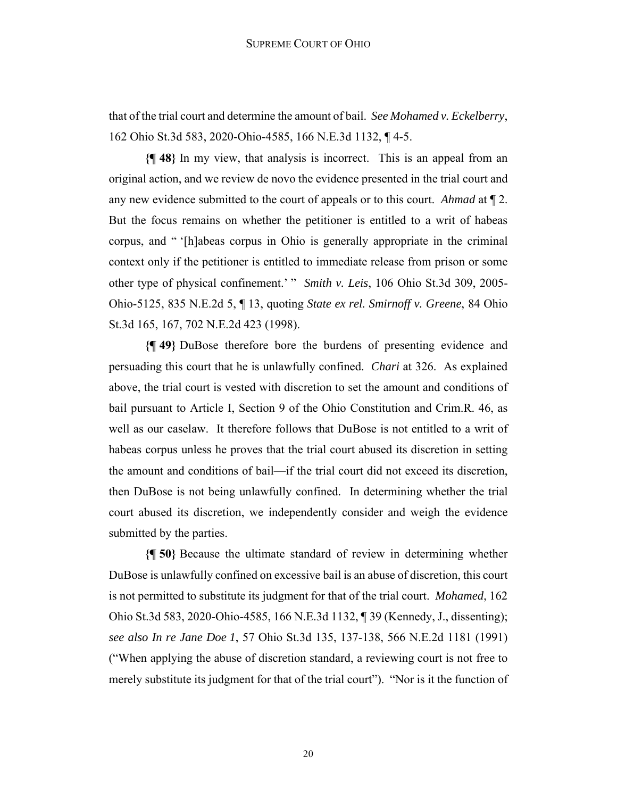that of the trial court and determine the amount of bail. *See Mohamed v. Eckelberry*, 162 Ohio St.3d 583, 2020-Ohio-4585, 166 N.E.3d 1132, ¶ 4-5.

**{¶ 48}** In my view, that analysis is incorrect. This is an appeal from an original action, and we review de novo the evidence presented in the trial court and any new evidence submitted to the court of appeals or to this court. *Ahmad* at ¶ 2. But the focus remains on whether the petitioner is entitled to a writ of habeas corpus, and " '[h]abeas corpus in Ohio is generally appropriate in the criminal context only if the petitioner is entitled to immediate release from prison or some other type of physical confinement.' " *Smith v. Leis*, 106 Ohio St.3d 309, 2005- Ohio-5125, 835 N.E.2d 5, ¶ 13, quoting *State ex rel. Smirnoff v. Greene*, 84 Ohio St.3d 165, 167, 702 N.E.2d 423 (1998).

**{¶ 49}** DuBose therefore bore the burdens of presenting evidence and persuading this court that he is unlawfully confined. *Chari* at 326. As explained above, the trial court is vested with discretion to set the amount and conditions of bail pursuant to Article I, Section 9 of the Ohio Constitution and Crim.R. 46, as well as our caselaw. It therefore follows that DuBose is not entitled to a writ of habeas corpus unless he proves that the trial court abused its discretion in setting the amount and conditions of bail—if the trial court did not exceed its discretion, then DuBose is not being unlawfully confined. In determining whether the trial court abused its discretion, we independently consider and weigh the evidence submitted by the parties.

**{¶ 50}** Because the ultimate standard of review in determining whether DuBose is unlawfully confined on excessive bail is an abuse of discretion, this court is not permitted to substitute its judgment for that of the trial court. *Mohamed*, 162 Ohio St.3d 583, 2020-Ohio-4585, 166 N.E.3d 1132, ¶ 39 (Kennedy, J., dissenting); *see also In re Jane Doe 1*, 57 Ohio St.3d 135, 137-138, 566 N.E.2d 1181 (1991) ("When applying the abuse of discretion standard, a reviewing court is not free to merely substitute its judgment for that of the trial court"). "Nor is it the function of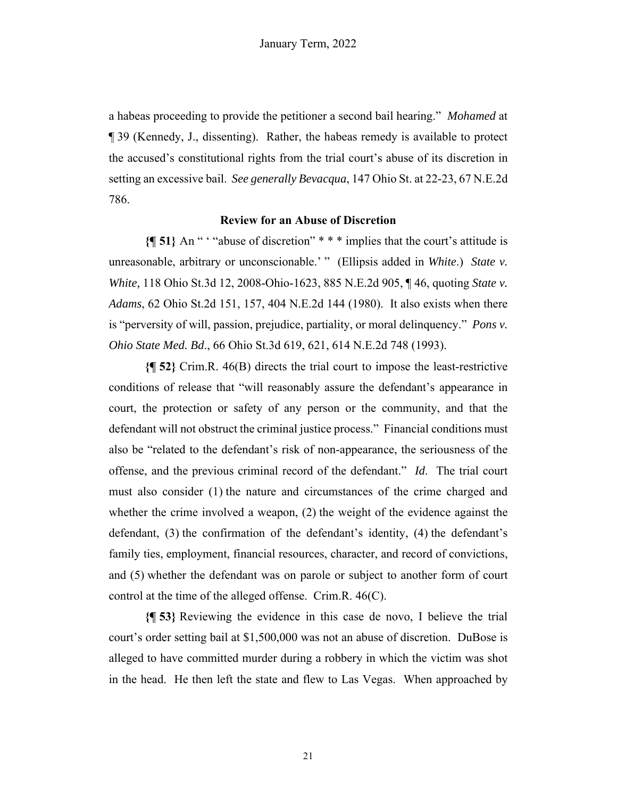a habeas proceeding to provide the petitioner a second bail hearing." *Mohamed* at ¶ 39 (Kennedy, J., dissenting). Rather, the habeas remedy is available to protect the accused's constitutional rights from the trial court's abuse of its discretion in setting an excessive bail. *See generally Bevacqua*, 147 Ohio St. at 22-23, 67 N.E.2d 786.

### **Review for an Abuse of Discretion**

**{¶ 51}** An " ' "abuse of discretion" \* \* \* implies that the court's attitude is unreasonable, arbitrary or unconscionable.' " (Ellipsis added in *White*.) *State v. White,* 118 Ohio St.3d 12, 2008-Ohio-1623, 885 N.E.2d 905, ¶ 46, quoting *State v. Adams*, 62 Ohio St.2d 151, 157, 404 N.E.2d 144 (1980). It also exists when there is "perversity of will, passion, prejudice, partiality, or moral delinquency." *Pons v. Ohio State Med. Bd*., 66 Ohio St.3d 619, 621, 614 N.E.2d 748 (1993).

**{¶ 52}** Crim.R. 46(B) directs the trial court to impose the least-restrictive conditions of release that "will reasonably assure the defendant's appearance in court, the protection or safety of any person or the community, and that the defendant will not obstruct the criminal justice process." Financial conditions must also be "related to the defendant's risk of non-appearance, the seriousness of the offense, and the previous criminal record of the defendant." *Id*. The trial court must also consider (1) the nature and circumstances of the crime charged and whether the crime involved a weapon, (2) the weight of the evidence against the defendant, (3) the confirmation of the defendant's identity, (4) the defendant's family ties, employment, financial resources, character, and record of convictions, and (5) whether the defendant was on parole or subject to another form of court control at the time of the alleged offense. Crim.R. 46(C).

**{¶ 53}** Reviewing the evidence in this case de novo, I believe the trial court's order setting bail at \$1,500,000 was not an abuse of discretion. DuBose is alleged to have committed murder during a robbery in which the victim was shot in the head. He then left the state and flew to Las Vegas. When approached by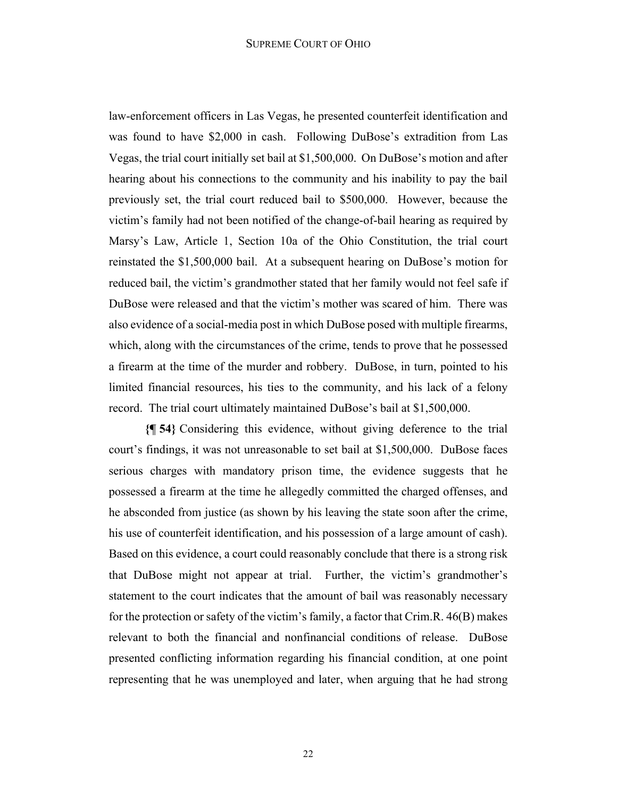law-enforcement officers in Las Vegas, he presented counterfeit identification and was found to have \$2,000 in cash. Following DuBose's extradition from Las Vegas, the trial court initially set bail at \$1,500,000. On DuBose's motion and after hearing about his connections to the community and his inability to pay the bail previously set, the trial court reduced bail to \$500,000. However, because the victim's family had not been notified of the change-of-bail hearing as required by Marsy's Law, Article 1, Section 10a of the Ohio Constitution, the trial court reinstated the \$1,500,000 bail. At a subsequent hearing on DuBose's motion for reduced bail, the victim's grandmother stated that her family would not feel safe if DuBose were released and that the victim's mother was scared of him. There was also evidence of a social-media post in which DuBose posed with multiple firearms, which, along with the circumstances of the crime, tends to prove that he possessed a firearm at the time of the murder and robbery. DuBose, in turn, pointed to his limited financial resources, his ties to the community, and his lack of a felony record. The trial court ultimately maintained DuBose's bail at \$1,500,000.

**{¶ 54}** Considering this evidence, without giving deference to the trial court's findings, it was not unreasonable to set bail at \$1,500,000. DuBose faces serious charges with mandatory prison time, the evidence suggests that he possessed a firearm at the time he allegedly committed the charged offenses, and he absconded from justice (as shown by his leaving the state soon after the crime, his use of counterfeit identification, and his possession of a large amount of cash). Based on this evidence, a court could reasonably conclude that there is a strong risk that DuBose might not appear at trial. Further, the victim's grandmother's statement to the court indicates that the amount of bail was reasonably necessary for the protection or safety of the victim's family, a factor that Crim.R. 46(B) makes relevant to both the financial and nonfinancial conditions of release. DuBose presented conflicting information regarding his financial condition, at one point representing that he was unemployed and later, when arguing that he had strong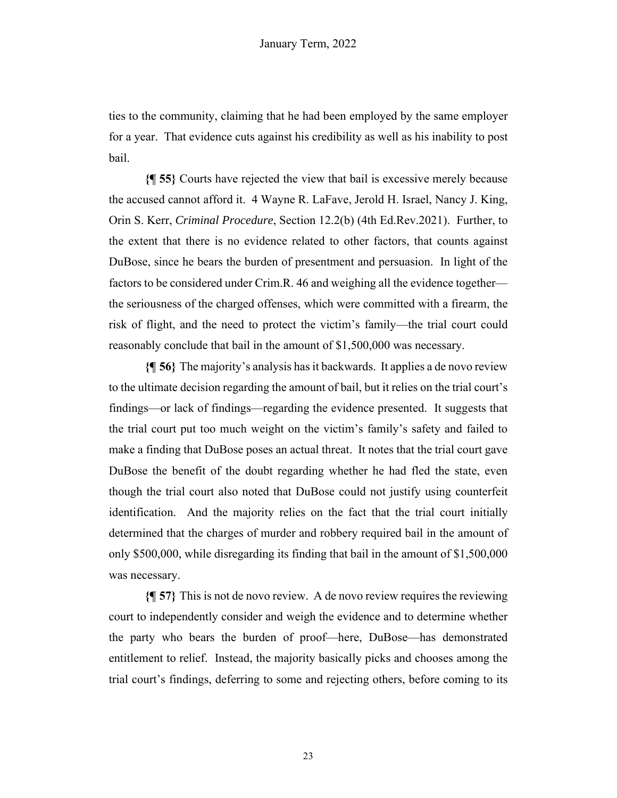ties to the community, claiming that he had been employed by the same employer for a year. That evidence cuts against his credibility as well as his inability to post bail.

**{¶ 55}** Courts have rejected the view that bail is excessive merely because the accused cannot afford it. 4 Wayne R. LaFave, Jerold H. Israel, Nancy J. King, Orin S. Kerr, *Criminal Procedure*, Section 12.2(b) (4th Ed.Rev.2021). Further, to the extent that there is no evidence related to other factors, that counts against DuBose, since he bears the burden of presentment and persuasion. In light of the factors to be considered under Crim.R. 46 and weighing all the evidence together the seriousness of the charged offenses, which were committed with a firearm, the risk of flight, and the need to protect the victim's family—the trial court could reasonably conclude that bail in the amount of \$1,500,000 was necessary.

**{¶ 56}** The majority's analysis has it backwards. It applies a de novo review to the ultimate decision regarding the amount of bail, but it relies on the trial court's findings—or lack of findings—regarding the evidence presented. It suggests that the trial court put too much weight on the victim's family's safety and failed to make a finding that DuBose poses an actual threat. It notes that the trial court gave DuBose the benefit of the doubt regarding whether he had fled the state, even though the trial court also noted that DuBose could not justify using counterfeit identification. And the majority relies on the fact that the trial court initially determined that the charges of murder and robbery required bail in the amount of only \$500,000, while disregarding its finding that bail in the amount of \$1,500,000 was necessary.

**{¶ 57}** This is not de novo review. A de novo review requires the reviewing court to independently consider and weigh the evidence and to determine whether the party who bears the burden of proof—here, DuBose—has demonstrated entitlement to relief. Instead, the majority basically picks and chooses among the trial court's findings, deferring to some and rejecting others, before coming to its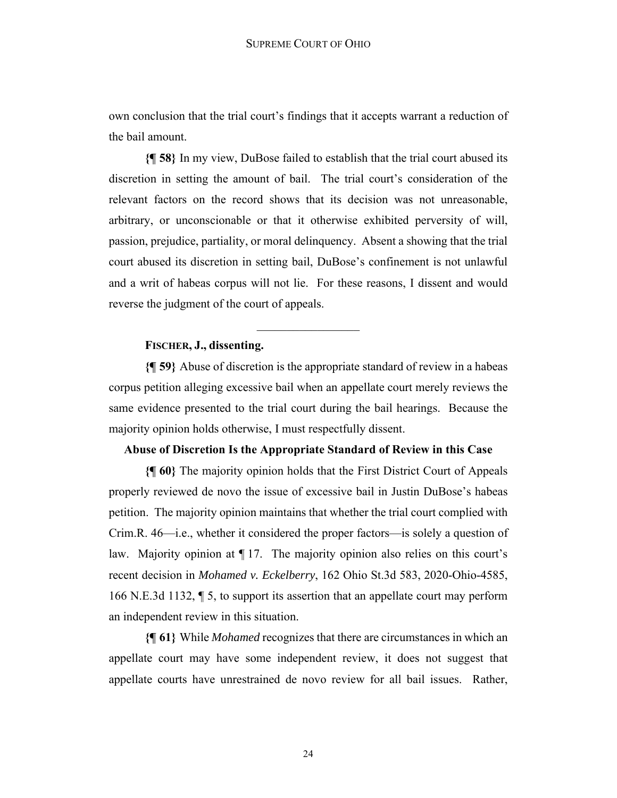own conclusion that the trial court's findings that it accepts warrant a reduction of the bail amount.

**{¶ 58}** In my view, DuBose failed to establish that the trial court abused its discretion in setting the amount of bail. The trial court's consideration of the relevant factors on the record shows that its decision was not unreasonable, arbitrary, or unconscionable or that it otherwise exhibited perversity of will, passion, prejudice, partiality, or moral delinquency. Absent a showing that the trial court abused its discretion in setting bail, DuBose's confinement is not unlawful and a writ of habeas corpus will not lie. For these reasons, I dissent and would reverse the judgment of the court of appeals.

# **FISCHER, J., dissenting.**

**{¶ 59}** Abuse of discretion is the appropriate standard of review in a habeas corpus petition alleging excessive bail when an appellate court merely reviews the same evidence presented to the trial court during the bail hearings. Because the majority opinion holds otherwise, I must respectfully dissent.

### **Abuse of Discretion Is the Appropriate Standard of Review in this Case**

**{¶ 60}** The majority opinion holds that the First District Court of Appeals properly reviewed de novo the issue of excessive bail in Justin DuBose's habeas petition. The majority opinion maintains that whether the trial court complied with Crim.R. 46—i.e., whether it considered the proper factors—is solely a question of law. Majority opinion at ¶ 17. The majority opinion also relies on this court's recent decision in *Mohamed v. Eckelberry*, 162 Ohio St.3d 583, 2020-Ohio-4585, 166 N.E.3d 1132, ¶ 5, to support its assertion that an appellate court may perform an independent review in this situation.

**{¶ 61}** While *Mohamed* recognizes that there are circumstances in which an appellate court may have some independent review, it does not suggest that appellate courts have unrestrained de novo review for all bail issues. Rather,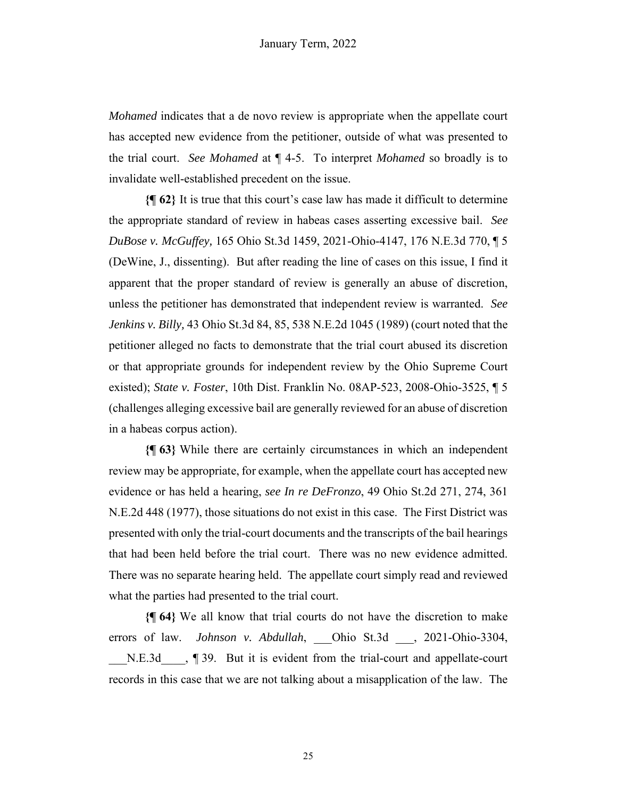*Mohamed* indicates that a de novo review is appropriate when the appellate court has accepted new evidence from the petitioner, outside of what was presented to the trial court. *See Mohamed* at ¶ 4-5. To interpret *Mohamed* so broadly is to invalidate well-established precedent on the issue.

**{¶ 62}** It is true that this court's case law has made it difficult to determine the appropriate standard of review in habeas cases asserting excessive bail. *See DuBose v. McGuffey,* 165 Ohio St.3d 1459, 2021-Ohio-4147, 176 N.E.3d 770, ¶ 5 (DeWine, J., dissenting). But after reading the line of cases on this issue, I find it apparent that the proper standard of review is generally an abuse of discretion, unless the petitioner has demonstrated that independent review is warranted. *See Jenkins v. Billy,* 43 Ohio St.3d 84, 85, 538 N.E.2d 1045 (1989) (court noted that the petitioner alleged no facts to demonstrate that the trial court abused its discretion or that appropriate grounds for independent review by the Ohio Supreme Court existed); *State v. Foster*, 10th Dist. Franklin No. 08AP-523, 2008-Ohio-3525, ¶ 5 (challenges alleging excessive bail are generally reviewed for an abuse of discretion in a habeas corpus action).

**{¶ 63}** While there are certainly circumstances in which an independent review may be appropriate, for example, when the appellate court has accepted new evidence or has held a hearing, *see In re DeFronzo*, 49 Ohio St.2d 271, 274, 361 N.E.2d 448 (1977), those situations do not exist in this case. The First District was presented with only the trial-court documents and the transcripts of the bail hearings that had been held before the trial court. There was no new evidence admitted. There was no separate hearing held. The appellate court simply read and reviewed what the parties had presented to the trial court.

**{¶ 64}** We all know that trial courts do not have the discretion to make errors of law. *Johnson v. Abdullah*, Ohio St.3d , 2021-Ohio-3304, N.E.3d  $\Box$ , ¶ 39. But it is evident from the trial-court and appellate-court records in this case that we are not talking about a misapplication of the law. The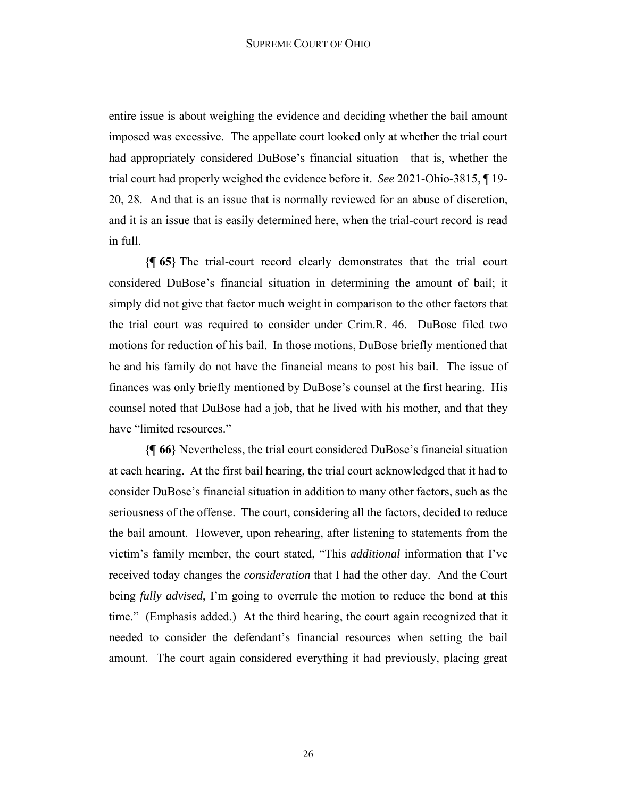entire issue is about weighing the evidence and deciding whether the bail amount imposed was excessive. The appellate court looked only at whether the trial court had appropriately considered DuBose's financial situation—that is, whether the trial court had properly weighed the evidence before it. *See* 2021-Ohio-3815, ¶ 19- 20, 28. And that is an issue that is normally reviewed for an abuse of discretion, and it is an issue that is easily determined here, when the trial-court record is read in full.

**{¶ 65}** The trial-court record clearly demonstrates that the trial court considered DuBose's financial situation in determining the amount of bail; it simply did not give that factor much weight in comparison to the other factors that the trial court was required to consider under Crim.R. 46. DuBose filed two motions for reduction of his bail. In those motions, DuBose briefly mentioned that he and his family do not have the financial means to post his bail. The issue of finances was only briefly mentioned by DuBose's counsel at the first hearing. His counsel noted that DuBose had a job, that he lived with his mother, and that they have "limited resources."

**{¶ 66}** Nevertheless, the trial court considered DuBose's financial situation at each hearing. At the first bail hearing, the trial court acknowledged that it had to consider DuBose's financial situation in addition to many other factors, such as the seriousness of the offense. The court, considering all the factors, decided to reduce the bail amount. However, upon rehearing, after listening to statements from the victim's family member, the court stated, "This *additional* information that I've received today changes the *consideration* that I had the other day. And the Court being *fully advised*, I'm going to overrule the motion to reduce the bond at this time." (Emphasis added.) At the third hearing, the court again recognized that it needed to consider the defendant's financial resources when setting the bail amount. The court again considered everything it had previously, placing great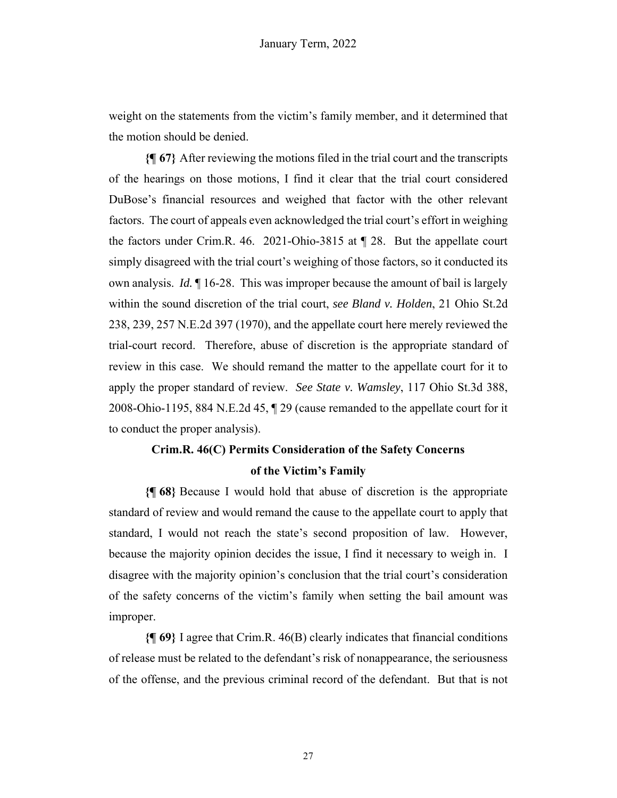weight on the statements from the victim's family member, and it determined that the motion should be denied.

**{¶ 67}** After reviewing the motions filed in the trial court and the transcripts of the hearings on those motions, I find it clear that the trial court considered DuBose's financial resources and weighed that factor with the other relevant factors. The court of appeals even acknowledged the trial court's effort in weighing the factors under Crim.R. 46. 2021-Ohio-3815 at ¶ 28. But the appellate court simply disagreed with the trial court's weighing of those factors, so it conducted its own analysis. *Id.* ¶ 16-28. This was improper because the amount of bail is largely within the sound discretion of the trial court, *see Bland v. Holden*, 21 Ohio St.2d 238, 239, 257 N.E.2d 397 (1970), and the appellate court here merely reviewed the trial-court record. Therefore, abuse of discretion is the appropriate standard of review in this case. We should remand the matter to the appellate court for it to apply the proper standard of review. *See State v. Wamsley*, 117 Ohio St.3d 388, 2008-Ohio-1195, 884 N.E.2d 45, ¶ 29 (cause remanded to the appellate court for it to conduct the proper analysis).

# **Crim.R. 46(C) Permits Consideration of the Safety Concerns of the Victim's Family**

**{¶ 68}** Because I would hold that abuse of discretion is the appropriate standard of review and would remand the cause to the appellate court to apply that standard, I would not reach the state's second proposition of law. However, because the majority opinion decides the issue, I find it necessary to weigh in. I disagree with the majority opinion's conclusion that the trial court's consideration of the safety concerns of the victim's family when setting the bail amount was improper.

**{¶ 69}** I agree that Crim.R. 46(B) clearly indicates that financial conditions of release must be related to the defendant's risk of nonappearance, the seriousness of the offense, and the previous criminal record of the defendant. But that is not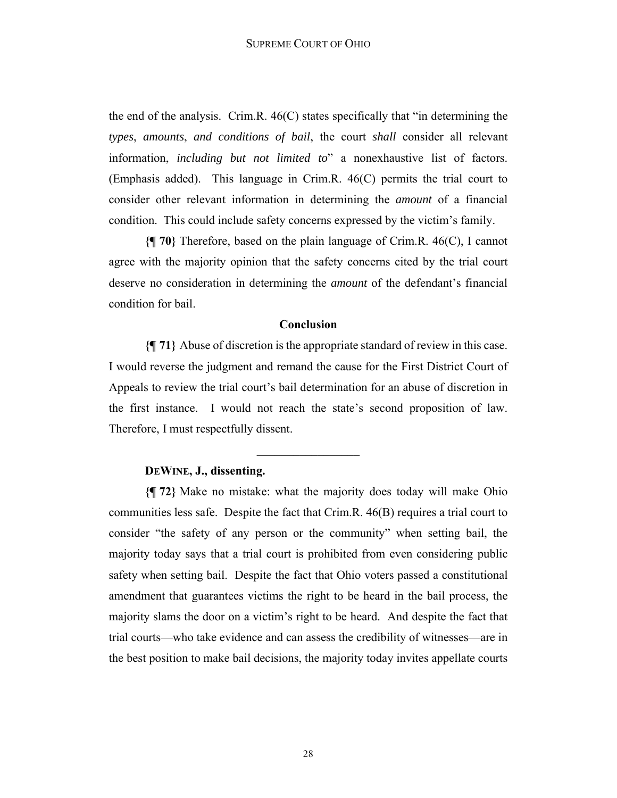the end of the analysis. Crim.R. 46(C) states specifically that "in determining the *types*, *amounts*, *and conditions of bail*, the court *shall* consider all relevant information, *including but not limited to*" a nonexhaustive list of factors. (Emphasis added). This language in Crim.R. 46(C) permits the trial court to consider other relevant information in determining the *amount* of a financial condition. This could include safety concerns expressed by the victim's family.

**{¶ 70}** Therefore, based on the plain language of Crim.R. 46(C), I cannot agree with the majority opinion that the safety concerns cited by the trial court deserve no consideration in determining the *amount* of the defendant's financial condition for bail.

#### **Conclusion**

**{¶ 71}** Abuse of discretion is the appropriate standard of review in this case. I would reverse the judgment and remand the cause for the First District Court of Appeals to review the trial court's bail determination for an abuse of discretion in the first instance. I would not reach the state's second proposition of law. Therefore, I must respectfully dissent.

 $\frac{1}{2}$ 

## **DEWINE, J., dissenting.**

**{¶ 72}** Make no mistake: what the majority does today will make Ohio communities less safe. Despite the fact that Crim.R. 46(B) requires a trial court to consider "the safety of any person or the community" when setting bail, the majority today says that a trial court is prohibited from even considering public safety when setting bail. Despite the fact that Ohio voters passed a constitutional amendment that guarantees victims the right to be heard in the bail process, the majority slams the door on a victim's right to be heard. And despite the fact that trial courts—who take evidence and can assess the credibility of witnesses—are in the best position to make bail decisions, the majority today invites appellate courts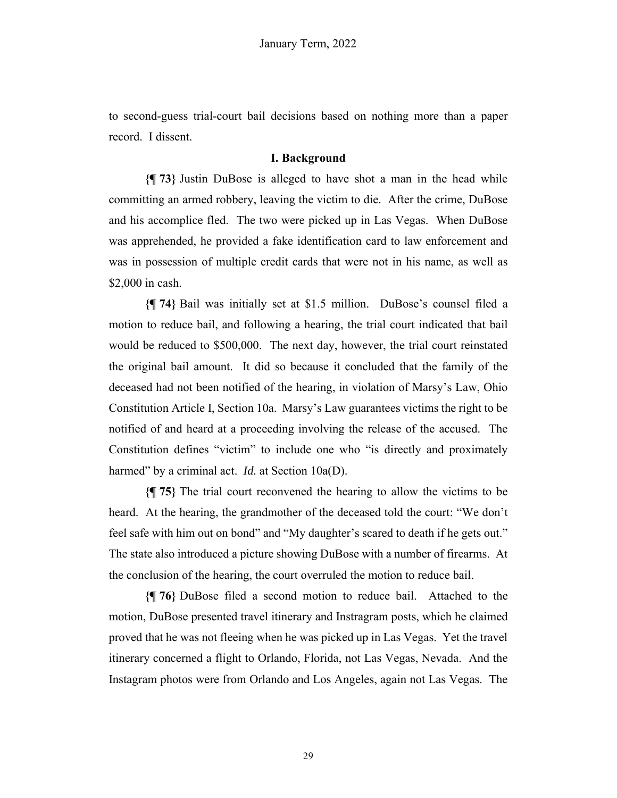to second-guess trial-court bail decisions based on nothing more than a paper record. I dissent.

# **I. Background**

**{¶ 73}** Justin DuBose is alleged to have shot a man in the head while committing an armed robbery, leaving the victim to die. After the crime, DuBose and his accomplice fled. The two were picked up in Las Vegas. When DuBose was apprehended, he provided a fake identification card to law enforcement and was in possession of multiple credit cards that were not in his name, as well as \$2,000 in cash.

**{¶ 74}** Bail was initially set at \$1.5 million. DuBose's counsel filed a motion to reduce bail, and following a hearing, the trial court indicated that bail would be reduced to \$500,000. The next day, however, the trial court reinstated the original bail amount. It did so because it concluded that the family of the deceased had not been notified of the hearing, in violation of Marsy's Law, Ohio Constitution Article I, Section 10a. Marsy's Law guarantees victims the right to be notified of and heard at a proceeding involving the release of the accused. The Constitution defines "victim" to include one who "is directly and proximately harmed" by a criminal act. *Id.* at Section 10a(D).

**{¶ 75}** The trial court reconvened the hearing to allow the victims to be heard. At the hearing, the grandmother of the deceased told the court: "We don't feel safe with him out on bond" and "My daughter's scared to death if he gets out." The state also introduced a picture showing DuBose with a number of firearms. At the conclusion of the hearing, the court overruled the motion to reduce bail.

**{¶ 76}** DuBose filed a second motion to reduce bail. Attached to the motion, DuBose presented travel itinerary and Instragram posts, which he claimed proved that he was not fleeing when he was picked up in Las Vegas. Yet the travel itinerary concerned a flight to Orlando, Florida, not Las Vegas, Nevada. And the Instagram photos were from Orlando and Los Angeles, again not Las Vegas. The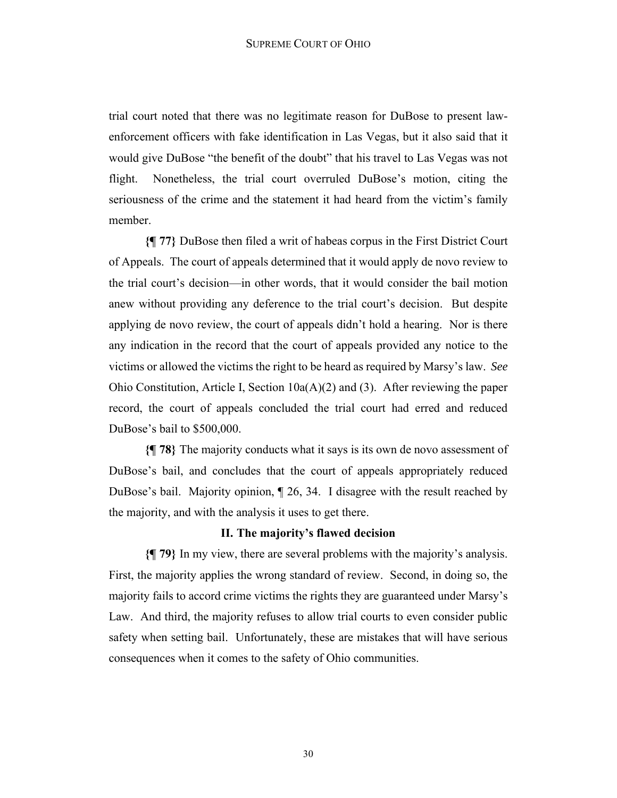trial court noted that there was no legitimate reason for DuBose to present lawenforcement officers with fake identification in Las Vegas, but it also said that it would give DuBose "the benefit of the doubt" that his travel to Las Vegas was not flight. Nonetheless, the trial court overruled DuBose's motion, citing the seriousness of the crime and the statement it had heard from the victim's family member.

**{¶ 77}** DuBose then filed a writ of habeas corpus in the First District Court of Appeals. The court of appeals determined that it would apply de novo review to the trial court's decision—in other words, that it would consider the bail motion anew without providing any deference to the trial court's decision. But despite applying de novo review, the court of appeals didn't hold a hearing. Nor is there any indication in the record that the court of appeals provided any notice to the victims or allowed the victims the right to be heard as required by Marsy's law. *See* Ohio Constitution, Article I, Section  $10a(A)(2)$  and (3). After reviewing the paper record, the court of appeals concluded the trial court had erred and reduced DuBose's bail to \$500,000.

**{¶ 78}** The majority conducts what it says is its own de novo assessment of DuBose's bail, and concludes that the court of appeals appropriately reduced DuBose's bail. Majority opinion, ¶ 26, 34. I disagree with the result reached by the majority, and with the analysis it uses to get there.

## **II. The majority's flawed decision**

**{¶ 79}** In my view, there are several problems with the majority's analysis. First, the majority applies the wrong standard of review. Second, in doing so, the majority fails to accord crime victims the rights they are guaranteed under Marsy's Law. And third, the majority refuses to allow trial courts to even consider public safety when setting bail. Unfortunately, these are mistakes that will have serious consequences when it comes to the safety of Ohio communities.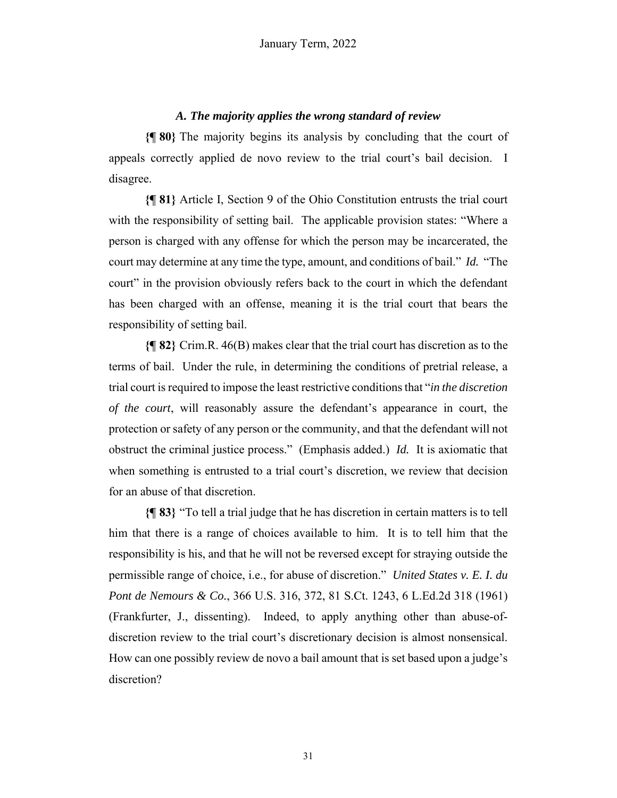# *A. The majority applies the wrong standard of review*

**{¶ 80}** The majority begins its analysis by concluding that the court of appeals correctly applied de novo review to the trial court's bail decision. I disagree.

**{¶ 81}** Article I, Section 9 of the Ohio Constitution entrusts the trial court with the responsibility of setting bail. The applicable provision states: "Where a person is charged with any offense for which the person may be incarcerated, the court may determine at any time the type, amount, and conditions of bail." *Id.* "The court" in the provision obviously refers back to the court in which the defendant has been charged with an offense, meaning it is the trial court that bears the responsibility of setting bail.

**{¶ 82}** Crim.R. 46(B) makes clear that the trial court has discretion as to the terms of bail. Under the rule, in determining the conditions of pretrial release, a trial court is required to impose the least restrictive conditions that "*in the discretion of the court*, will reasonably assure the defendant's appearance in court, the protection or safety of any person or the community, and that the defendant will not obstruct the criminal justice process." (Emphasis added.) *Id.* It is axiomatic that when something is entrusted to a trial court's discretion, we review that decision for an abuse of that discretion.

**{¶ 83}** "To tell a trial judge that he has discretion in certain matters is to tell him that there is a range of choices available to him. It is to tell him that the responsibility is his, and that he will not be reversed except for straying outside the permissible range of choice, i.e., for abuse of discretion." *United States v. E. I. du Pont de Nemours & Co.*, 366 U.S. 316, 372, 81 S.Ct. 1243, 6 L.Ed.2d 318 (1961) (Frankfurter, J., dissenting). Indeed, to apply anything other than abuse-ofdiscretion review to the trial court's discretionary decision is almost nonsensical. How can one possibly review de novo a bail amount that is set based upon a judge's discretion?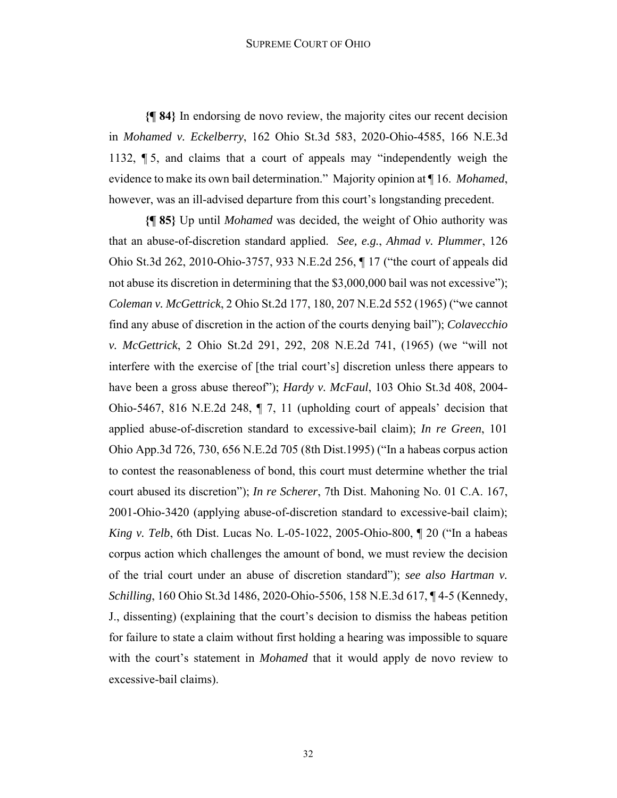#### SUPREME COURT OF OHIO

**{¶ 84}** In endorsing de novo review, the majority cites our recent decision in *Mohamed v. Eckelberry*, 162 Ohio St.3d 583, 2020-Ohio-4585, 166 N.E.3d 1132, ¶ 5, and claims that a court of appeals may "independently weigh the evidence to make its own bail determination." Majority opinion at ¶ 16. *Mohamed*, however, was an ill-advised departure from this court's longstanding precedent.

**{¶ 85}** Up until *Mohamed* was decided, the weight of Ohio authority was that an abuse-of-discretion standard applied. *See, e.g.*, *Ahmad v. Plummer*, 126 Ohio St.3d 262, 2010-Ohio-3757, 933 N.E.2d 256, ¶ 17 ("the court of appeals did not abuse its discretion in determining that the \$3,000,000 bail was not excessive"); *Coleman v. McGettrick*, 2 Ohio St.2d 177, 180, 207 N.E.2d 552 (1965) ("we cannot find any abuse of discretion in the action of the courts denying bail"); *Colavecchio v. McGettrick*, 2 Ohio St.2d 291, 292, 208 N.E.2d 741, (1965) (we "will not interfere with the exercise of [the trial court's] discretion unless there appears to have been a gross abuse thereof"); *Hardy v. McFaul*, 103 Ohio St.3d 408, 2004- Ohio-5467, 816 N.E.2d 248, ¶ 7, 11 (upholding court of appeals' decision that applied abuse-of-discretion standard to excessive-bail claim); *In re Green*, 101 Ohio App.3d 726, 730, 656 N.E.2d 705 (8th Dist.1995) ("In a habeas corpus action to contest the reasonableness of bond, this court must determine whether the trial court abused its discretion"); *In re Scherer*, 7th Dist. Mahoning No. 01 C.A. 167, 2001-Ohio-3420 (applying abuse-of-discretion standard to excessive-bail claim); *King v. Telb*, 6th Dist. Lucas No. L-05-1022, 2005-Ohio-800, ¶ 20 ("In a habeas corpus action which challenges the amount of bond, we must review the decision of the trial court under an abuse of discretion standard"); *see also Hartman v. Schilling*, 160 Ohio St.3d 1486, 2020-Ohio-5506, 158 N.E.3d 617, ¶ 4-5 (Kennedy, J., dissenting) (explaining that the court's decision to dismiss the habeas petition for failure to state a claim without first holding a hearing was impossible to square with the court's statement in *Mohamed* that it would apply de novo review to excessive-bail claims).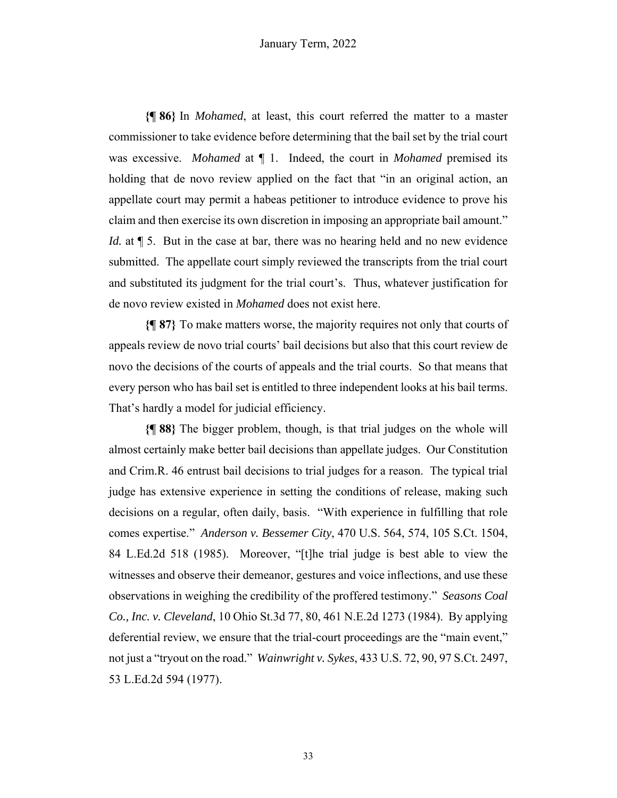**{¶ 86}** In *Mohamed*, at least, this court referred the matter to a master commissioner to take evidence before determining that the bail set by the trial court was excessive. *Mohamed* at ¶ 1. Indeed, the court in *Mohamed* premised its holding that de novo review applied on the fact that "in an original action, an appellate court may permit a habeas petitioner to introduce evidence to prove his claim and then exercise its own discretion in imposing an appropriate bail amount." *Id.* at  $\parallel$  5. But in the case at bar, there was no hearing held and no new evidence submitted. The appellate court simply reviewed the transcripts from the trial court and substituted its judgment for the trial court's. Thus, whatever justification for de novo review existed in *Mohamed* does not exist here.

**{¶ 87}** To make matters worse, the majority requires not only that courts of appeals review de novo trial courts' bail decisions but also that this court review de novo the decisions of the courts of appeals and the trial courts. So that means that every person who has bail set is entitled to three independent looks at his bail terms. That's hardly a model for judicial efficiency.

**{¶ 88}** The bigger problem, though, is that trial judges on the whole will almost certainly make better bail decisions than appellate judges. Our Constitution and Crim.R. 46 entrust bail decisions to trial judges for a reason. The typical trial judge has extensive experience in setting the conditions of release, making such decisions on a regular, often daily, basis. "With experience in fulfilling that role comes expertise." *Anderson v. Bessemer City*, 470 U.S. 564, 574, 105 S.Ct. 1504, 84 L.Ed.2d 518 (1985). Moreover, "[t]he trial judge is best able to view the witnesses and observe their demeanor, gestures and voice inflections, and use these observations in weighing the credibility of the proffered testimony." *Seasons Coal Co., Inc. v. Cleveland*, 10 Ohio St.3d 77, 80, 461 N.E.2d 1273 (1984). By applying deferential review, we ensure that the trial-court proceedings are the "main event," not just a "tryout on the road." *Wainwright v. Sykes*, 433 U.S. 72, 90, 97 S.Ct. 2497, 53 L.Ed.2d 594 (1977).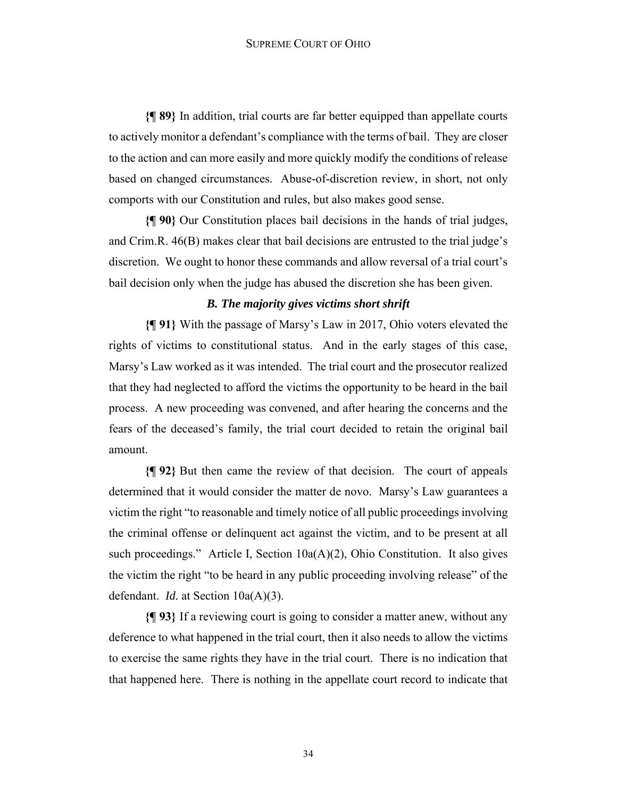**{¶ 89}** In addition, trial courts are far better equipped than appellate courts to actively monitor a defendant's compliance with the terms of bail. They are closer to the action and can more easily and more quickly modify the conditions of release based on changed circumstances. Abuse-of-discretion review, in short, not only comports with our Constitution and rules, but also makes good sense.

**{¶ 90}** Our Constitution places bail decisions in the hands of trial judges, and Crim.R. 46(B) makes clear that bail decisions are entrusted to the trial judge's discretion. We ought to honor these commands and allow reversal of a trial court's bail decision only when the judge has abused the discretion she has been given.

#### *B. The majority gives victims short shrift*

**{¶ 91}** With the passage of Marsy's Law in 2017, Ohio voters elevated the rights of victims to constitutional status. And in the early stages of this case, Marsy's Law worked as it was intended. The trial court and the prosecutor realized that they had neglected to afford the victims the opportunity to be heard in the bail process. A new proceeding was convened, and after hearing the concerns and the fears of the deceased's family, the trial court decided to retain the original bail amount.

**{¶ 92}** But then came the review of that decision. The court of appeals determined that it would consider the matter de novo. Marsy's Law guarantees a victim the right "to reasonable and timely notice of all public proceedings involving the criminal offense or delinquent act against the victim, and to be present at all such proceedings." Article I, Section 10a(A)(2), Ohio Constitution. It also gives the victim the right "to be heard in any public proceeding involving release" of the defendant. *Id.* at Section 10a(A)(3).

**{¶ 93}** If a reviewing court is going to consider a matter anew, without any deference to what happened in the trial court, then it also needs to allow the victims to exercise the same rights they have in the trial court. There is no indication that that happened here. There is nothing in the appellate court record to indicate that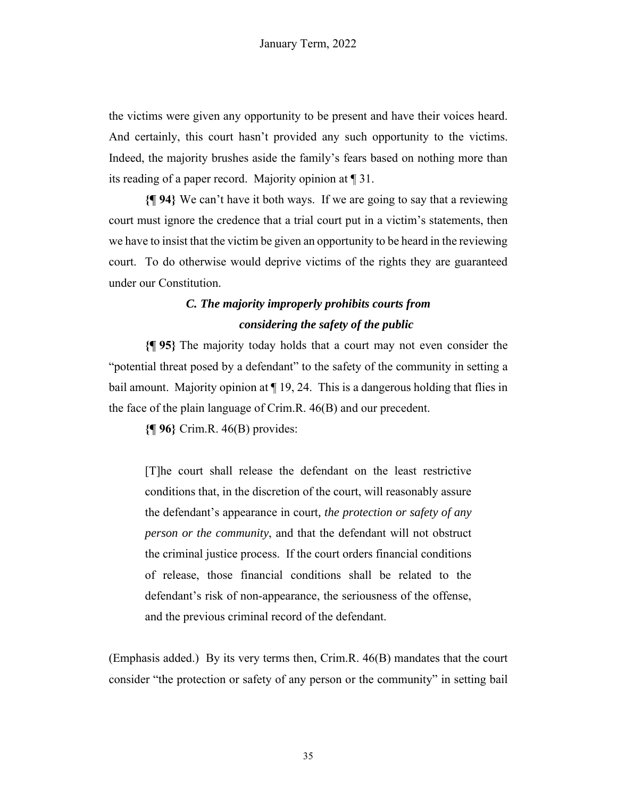the victims were given any opportunity to be present and have their voices heard. And certainly, this court hasn't provided any such opportunity to the victims. Indeed, the majority brushes aside the family's fears based on nothing more than its reading of a paper record. Majority opinion at ¶ 31.

**{¶ 94}** We can't have it both ways. If we are going to say that a reviewing court must ignore the credence that a trial court put in a victim's statements, then we have to insist that the victim be given an opportunity to be heard in the reviewing court. To do otherwise would deprive victims of the rights they are guaranteed under our Constitution.

# *C. The majority improperly prohibits courts from considering the safety of the public*

**{¶ 95}** The majority today holds that a court may not even consider the "potential threat posed by a defendant" to the safety of the community in setting a bail amount. Majority opinion at  $\P$  19, 24. This is a dangerous holding that flies in the face of the plain language of Crim.R. 46(B) and our precedent.

**{¶ 96}** Crim.R. 46(B) provides:

[T]he court shall release the defendant on the least restrictive conditions that, in the discretion of the court, will reasonably assure the defendant's appearance in court*, the protection or safety of any person or the community*, and that the defendant will not obstruct the criminal justice process. If the court orders financial conditions of release, those financial conditions shall be related to the defendant's risk of non-appearance, the seriousness of the offense, and the previous criminal record of the defendant.

(Emphasis added.) By its very terms then, Crim.R. 46(B) mandates that the court consider "the protection or safety of any person or the community" in setting bail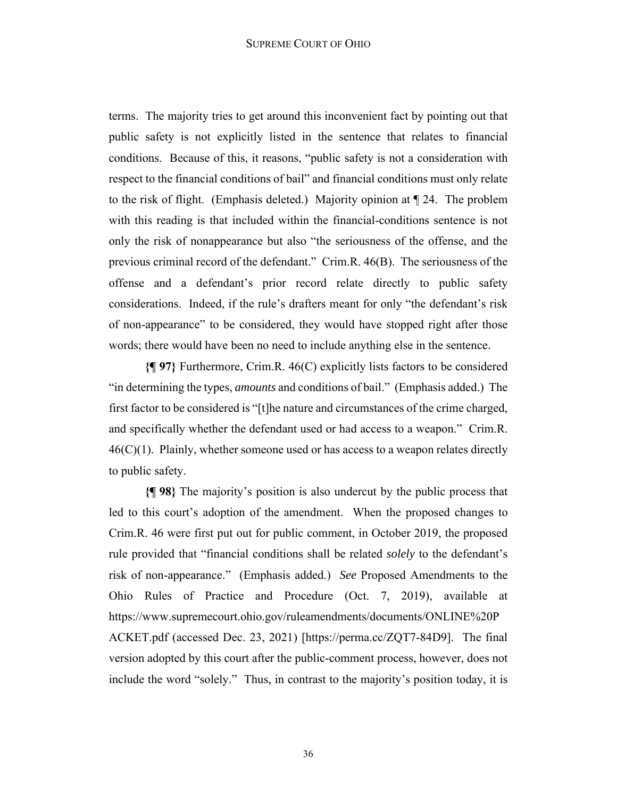terms. The majority tries to get around this inconvenient fact by pointing out that public safety is not explicitly listed in the sentence that relates to financial conditions. Because of this, it reasons, "public safety is not a consideration with respect to the financial conditions of bail" and financial conditions must only relate to the risk of flight. (Emphasis deleted.) Majority opinion at ¶ 24. The problem with this reading is that included within the financial-conditions sentence is not only the risk of nonappearance but also "the seriousness of the offense, and the previous criminal record of the defendant." Crim.R. 46(B). The seriousness of the offense and a defendant's prior record relate directly to public safety considerations. Indeed, if the rule's drafters meant for only "the defendant's risk of non-appearance" to be considered, they would have stopped right after those words; there would have been no need to include anything else in the sentence.

**{¶ 97}** Furthermore, Crim.R. 46(C) explicitly lists factors to be considered "in determining the types, *amounts* and conditions of bail." (Emphasis added.) The first factor to be considered is "[t]he nature and circumstances of the crime charged, and specifically whether the defendant used or had access to a weapon." Crim.R.  $46(C)(1)$ . Plainly, whether someone used or has access to a weapon relates directly to public safety.

**{¶ 98}** The majority's position is also undercut by the public process that led to this court's adoption of the amendment. When the proposed changes to Crim.R. 46 were first put out for public comment, in October 2019, the proposed rule provided that "financial conditions shall be related *solely* to the defendant's risk of non-appearance." (Emphasis added.) *See* Proposed Amendments to the Ohio Rules of Practice and Procedure (Oct. 7, 2019), available at https://www.supremecourt.ohio.gov/ruleamendments/documents/ONLINE%20P ACKET.pdf (accessed Dec. 23, 2021) [https://perma.cc/ZQT7-84D9]. The final version adopted by this court after the public-comment process, however, does not include the word "solely." Thus, in contrast to the majority's position today, it is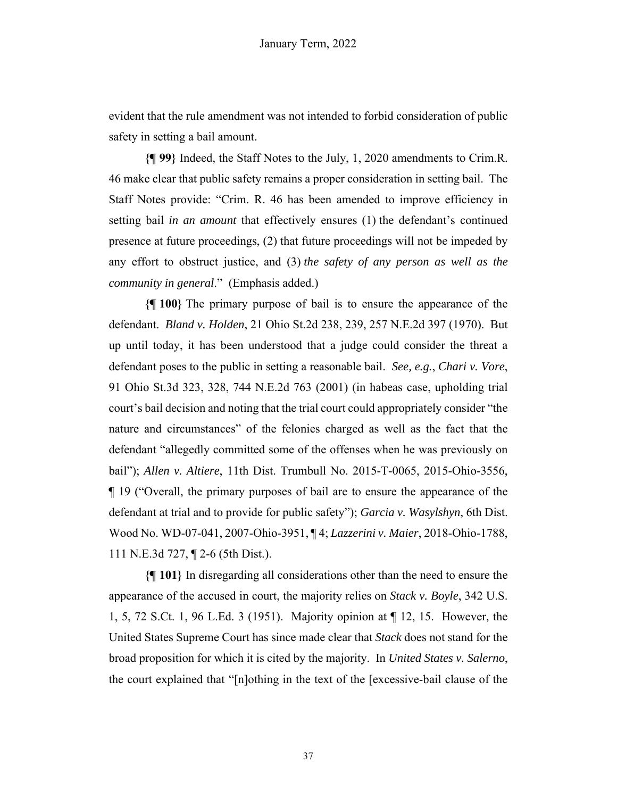evident that the rule amendment was not intended to forbid consideration of public safety in setting a bail amount.

**{¶ 99}** Indeed, the Staff Notes to the July, 1, 2020 amendments to Crim.R. 46 make clear that public safety remains a proper consideration in setting bail. The Staff Notes provide: "Crim. R. 46 has been amended to improve efficiency in setting bail *in an amount* that effectively ensures (1) the defendant's continued presence at future proceedings, (2) that future proceedings will not be impeded by any effort to obstruct justice, and (3) *the safety of any person as well as the community in general*." (Emphasis added.)

**{¶ 100}** The primary purpose of bail is to ensure the appearance of the defendant. *Bland v. Holden*, 21 Ohio St.2d 238, 239, 257 N.E.2d 397 (1970). But up until today, it has been understood that a judge could consider the threat a defendant poses to the public in setting a reasonable bail. *See, e.g.*, *Chari v. Vore*, 91 Ohio St.3d 323, 328, 744 N.E.2d 763 (2001) (in habeas case, upholding trial court's bail decision and noting that the trial court could appropriately consider "the nature and circumstances" of the felonies charged as well as the fact that the defendant "allegedly committed some of the offenses when he was previously on bail"); *Allen v. Altiere*, 11th Dist. Trumbull No. 2015-T-0065, 2015-Ohio-3556, ¶ 19 ("Overall, the primary purposes of bail are to ensure the appearance of the defendant at trial and to provide for public safety"); *Garcia v. Wasylshyn*, 6th Dist. Wood No. WD-07-041, 2007-Ohio-3951, ¶ 4; *Lazzerini v. Maier*, 2018-Ohio-1788, 111 N.E.3d 727, ¶ 2-6 (5th Dist.).

**{¶ 101}** In disregarding all considerations other than the need to ensure the appearance of the accused in court, the majority relies on *Stack v. Boyle*, 342 U.S. 1, 5, 72 S.Ct. 1, 96 L.Ed. 3 (1951). Majority opinion at ¶ 12, 15. However, the United States Supreme Court has since made clear that *Stack* does not stand for the broad proposition for which it is cited by the majority. In *United States v. Salerno*, the court explained that "[n]othing in the text of the [excessive-bail clause of the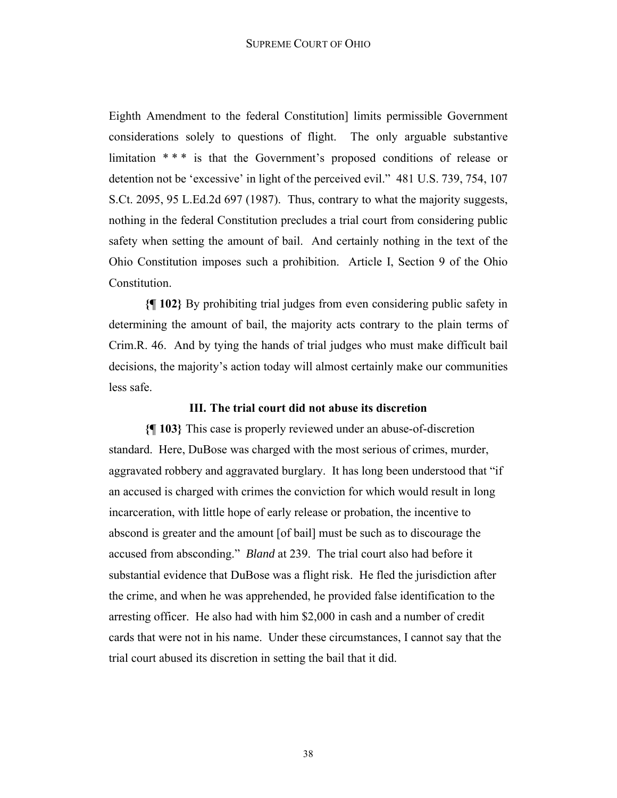Eighth Amendment to the federal Constitution] limits permissible Government considerations solely to questions of flight. The only arguable substantive limitation \*\*\* is that the Government's proposed conditions of release or detention not be 'excessive' in light of the perceived evil." 481 U.S. 739, 754, 107 S.Ct. 2095, 95 L.Ed.2d 697 (1987). Thus, contrary to what the majority suggests, nothing in the federal Constitution precludes a trial court from considering public safety when setting the amount of bail. And certainly nothing in the text of the Ohio Constitution imposes such a prohibition. Article I, Section 9 of the Ohio Constitution.

**{¶ 102}** By prohibiting trial judges from even considering public safety in determining the amount of bail, the majority acts contrary to the plain terms of Crim.R. 46. And by tying the hands of trial judges who must make difficult bail decisions, the majority's action today will almost certainly make our communities less safe.

#### **III. The trial court did not abuse its discretion**

**{¶ 103}** This case is properly reviewed under an abuse-of-discretion standard. Here, DuBose was charged with the most serious of crimes, murder, aggravated robbery and aggravated burglary. It has long been understood that "if an accused is charged with crimes the conviction for which would result in long incarceration, with little hope of early release or probation, the incentive to abscond is greater and the amount [of bail] must be such as to discourage the accused from absconding." *Bland* at 239. The trial court also had before it substantial evidence that DuBose was a flight risk. He fled the jurisdiction after the crime, and when he was apprehended, he provided false identification to the arresting officer. He also had with him \$2,000 in cash and a number of credit cards that were not in his name. Under these circumstances, I cannot say that the trial court abused its discretion in setting the bail that it did.